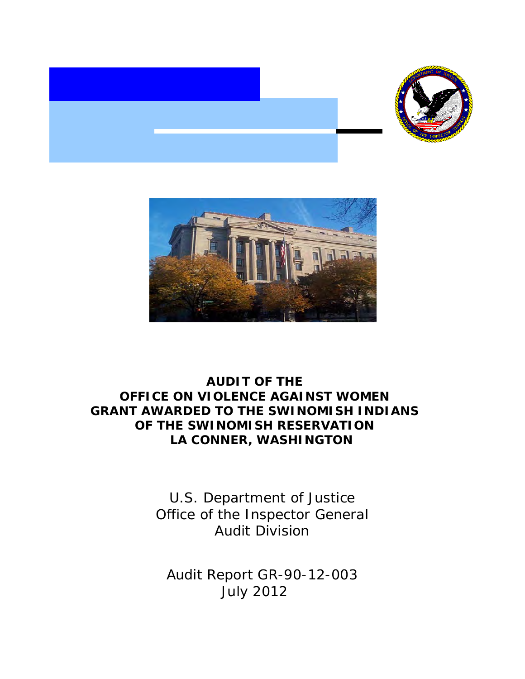



# **AUDIT OF THE OFFICE ON VIOLENCE AGAINST WOMEN GRANT AWARDED TO THE SWINOMISH INDIANS OF THE SWINOMISH RESERVATION LA CONNER, WASHINGTON**

U.S. Department of Justice Office of the Inspector General Audit Division

Audit Report GR-90-12-003 July 2012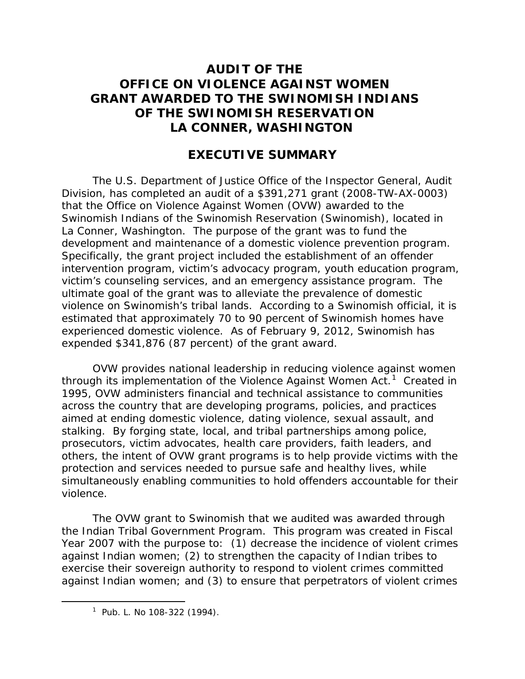# **AUDIT OF THE OFFICE ON VIOLENCE AGAINST WOMEN GRANT AWARDED TO THE SWINOMISH INDIANS OF THE SWINOMISH RESERVATION LA CONNER, WASHINGTON**

# **EXECUTIVE SUMMARY**

The U.S. Department of Justice Office of the Inspector General, Audit Division, has completed an audit of a \$391,271 grant (2008-TW-AX-0003) that the Office on Violence Against Women (OVW) awarded to the Swinomish Indians of the Swinomish Reservation (Swinomish), located in La Conner, Washington. The purpose of the grant was to fund the development and maintenance of a domestic violence prevention program. Specifically, the grant project included the establishment of an offender intervention program, victim's advocacy program, youth education program, victim's counseling services, and an emergency assistance program. The ultimate goal of the grant was to alleviate the prevalence of domestic violence on Swinomish's tribal lands. According to a Swinomish official, it is estimated that approximately 70 to 90 percent of Swinomish homes have experienced domestic violence. As of February 9, 2012, Swinomish has expended \$341,876 (87 percent) of the grant award.

OVW provides national leadership in reducing violence against women through its implementation of the Violence Against Women Act.<sup>[1](#page-1-0)</sup> Created in 1995, OVW administers financial and technical assistance to communities across the country that are developing programs, policies, and practices aimed at ending domestic violence, dating violence, sexual assault, and stalking. By forging state, local, and tribal partnerships among police, prosecutors, victim advocates, health care providers, faith leaders, and others, the intent of OVW grant programs is to help provide victims with the protection and services needed to pursue safe and healthy lives, while simultaneously enabling communities to hold offenders accountable for their violence.

The OVW grant to Swinomish that we audited was awarded through the Indian Tribal Government Program. This program was created in Fiscal Year 2007 with the purpose to: (1) decrease the incidence of violent crimes against Indian women; (2) to strengthen the capacity of Indian tribes to exercise their sovereign authority to respond to violent crimes committed against Indian women; and (3) to ensure that perpetrators of violent crimes

<span id="page-1-0"></span> $\overline{\phantom{a}}$  $1$  Pub. L. No 108-322 (1994).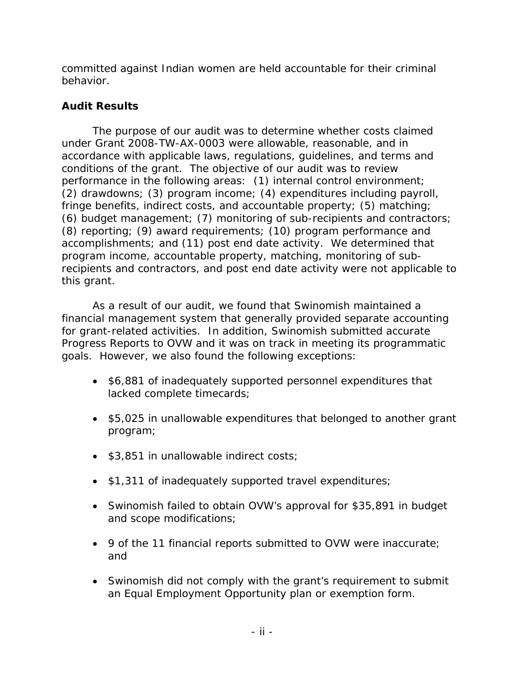committed against Indian women are held accountable for their criminal behavior.

## **Audit Results**

The purpose of our audit was to determine whether costs claimed under Grant 2008-TW-AX-0003 were allowable, reasonable, and in accordance with applicable laws, regulations, guidelines, and terms and conditions of the grant. The objective of our audit was to review performance in the following areas: (1) internal control environment; (2) drawdowns; (3) program income; (4) expenditures including payroll, fringe benefits, indirect costs, and accountable property; (5) matching; (6) budget management; (7) monitoring of sub-recipients and contractors; (8) reporting; (9) award requirements; (10) program performance and accomplishments; and (11) post end date activity. We determined that program income, accountable property, matching, monitoring of subrecipients and contractors, and post end date activity were not applicable to this grant.

As a result of our audit, we found that Swinomish maintained a financial management system that generally provided separate accounting for grant-related activities. In addition, Swinomish submitted accurate Progress Reports to OVW and it was on track in meeting its programmatic goals. However, we also found the following exceptions:

- \$6,881 of inadequately supported personnel expenditures that lacked complete timecards;
- \$5,025 in unallowable expenditures that belonged to another grant program;
- \$3,851 in unallowable indirect costs;
- \$1,311 of inadequately supported travel expenditures;
- Swinomish failed to obtain OVW's approval for \$35,891 in budget and scope modifications;
- 9 of the 11 financial reports submitted to OVW were inaccurate; and
- Swinomish did not comply with the grant's requirement to submit an Equal Employment Opportunity plan or exemption form.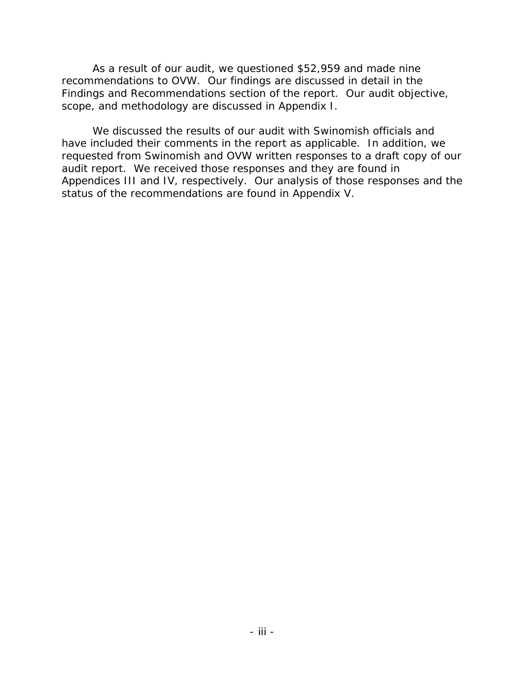As a result of our audit, we questioned \$52,959 and made nine recommendations to OVW. Our findings are discussed in detail in the Findings and Recommendations section of the report. Our audit objective, scope, and methodology are discussed in Appendix I.

We discussed the results of our audit with Swinomish officials and have included their comments in the report as applicable. In addition, we requested from Swinomish and OVW written responses to a draft copy of our audit report. We received those responses and they are found in Appendices III and IV, respectively. Our analysis of those responses and the status of the recommendations are found in Appendix V.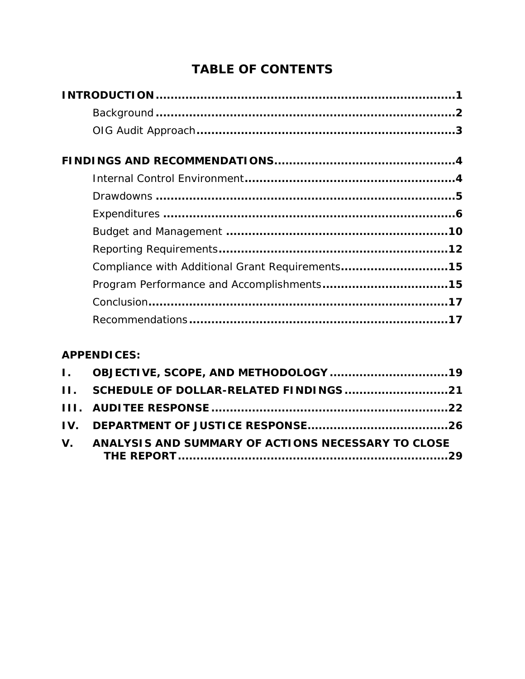# **TABLE OF CONTENTS**

| Compliance with Additional Grant Requirements15 |  |
|-------------------------------------------------|--|
|                                                 |  |
|                                                 |  |
|                                                 |  |

# **APPENDICES:**

| V. ANALYSIS AND SUMMARY OF ACTIONS NECESSARY TO CLOSE |  |
|-------------------------------------------------------|--|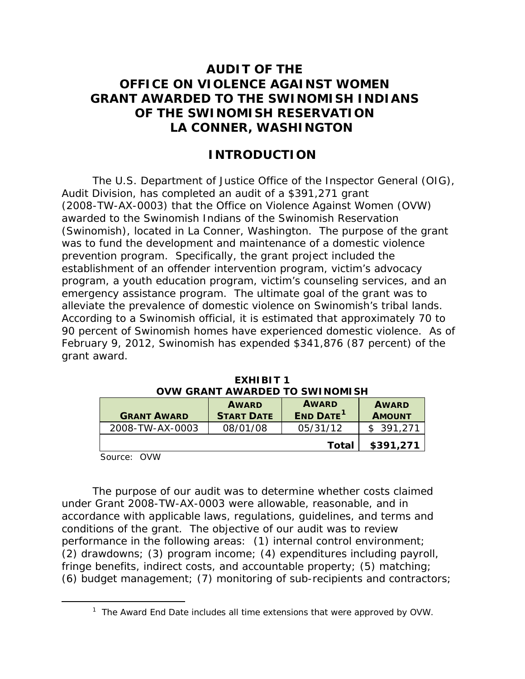# **AUDIT OF THE OFFICE ON VIOLENCE AGAINST WOMEN GRANT AWARDED TO THE SWINOMISH INDIANS OF THE SWINOMISH RESERVATION LA CONNER, WASHINGTON**

## **INTRODUCTION**

The U.S. Department of Justice Office of the Inspector General (OIG), Audit Division, has completed an audit of a \$391,271 grant (2008-TW-AX-0003) that the Office on Violence Against Women (OVW) awarded to the Swinomish Indians of the Swinomish Reservation (Swinomish), located in La Conner, Washington. The purpose of the grant was to fund the development and maintenance of a domestic violence prevention program. Specifically, the grant project included the establishment of an offender intervention program, victim's advocacy program, a youth education program, victim's counseling services, and an emergency assistance program. The ultimate goal of the grant was to alleviate the prevalence of domestic violence on Swinomish's tribal lands. According to a Swinomish official, it is estimated that approximately 70 to 90 percent of Swinomish homes have experienced domestic violence. As of February 9, 2012, Swinomish has expended \$341,876 (87 percent) of the grant award.

| <b>GRANT AWARD</b> | <b>AWARD</b><br><b>START DATE</b> | <b>AWARD</b><br><b>END DATE</b> <sup>1</sup> | <b>AWARD</b><br><b>AMOUNT</b> |
|--------------------|-----------------------------------|----------------------------------------------|-------------------------------|
| 2008-TW-AX-0003    | 08/01/08                          | 05/31/12                                     | \$391,271                     |
|                    |                                   | Total                                        | \$391,271                     |

**EXHIBIT 1 OVW GRANT AWARDED TO SWINOMISH**

Source: OVW

The purpose of our audit was to determine whether costs claimed under Grant 2008-TW-AX-0003 were allowable, reasonable, and in accordance with applicable laws, regulations, guidelines, and terms and conditions of the grant. The objective of our audit was to review performance in the following areas: (1) internal control environment; (2) drawdowns; (3) program income; (4) expenditures including payroll, fringe benefits, indirect costs, and accountable property; (5) matching; (6) budget management; (7) monitoring of sub-recipients and contractors;

<span id="page-5-0"></span> $\overline{\phantom{a}}$  $1$  The Award End Date includes all time extensions that were approved by OVW.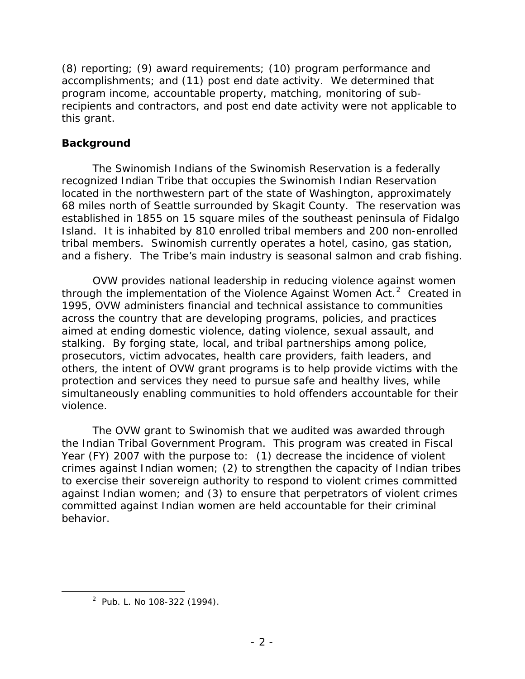(8) reporting; (9) award requirements; (10) program performance and accomplishments; and (11) post end date activity. We determined that program income, accountable property, matching, monitoring of subrecipients and contractors, and post end date activity were not applicable to this grant.

### **Background**

The Swinomish Indians of the Swinomish Reservation is a federally recognized Indian Tribe that occupies the Swinomish Indian Reservation located in the northwestern part of the state of Washington, approximately 68 miles north of Seattle surrounded by Skagit County. The reservation was established in 1855 on 15 square miles of the southeast peninsula of Fidalgo Island. It is inhabited by 810 enrolled tribal members and 200 non-enrolled tribal members. Swinomish currently operates a hotel, casino, gas station, and a fishery. The Tribe's main industry is seasonal salmon and crab fishing.

OVW provides national leadership in reducing violence against women through the implementation of the Violence Against Women Act.<sup>[2](#page-6-0)</sup> Created in 1995, OVW administers financial and technical assistance to communities across the country that are developing programs, policies, and practices aimed at ending domestic violence, dating violence, sexual assault, and stalking. By forging state, local, and tribal partnerships among police, prosecutors, victim advocates, health care providers, faith leaders, and others, the intent of OVW grant programs is to help provide victims with the protection and services they need to pursue safe and healthy lives, while simultaneously enabling communities to hold offenders accountable for their violence.

The OVW grant to Swinomish that we audited was awarded through the Indian Tribal Government Program. This program was created in Fiscal Year (FY) 2007 with the purpose to: (1) decrease the incidence of violent crimes against Indian women; (2) to strengthen the capacity of Indian tribes to exercise their sovereign authority to respond to violent crimes committed against Indian women; and (3) to ensure that perpetrators of violent crimes committed against Indian women are held accountable for their criminal behavior.

<span id="page-6-0"></span> $\overline{\phantom{a}}$  2  $2$  Pub. L. No 108-322 (1994).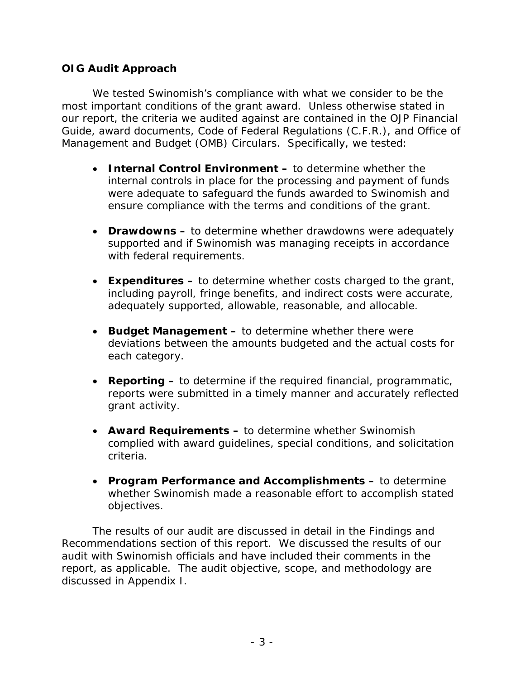### **OIG Audit Approach**

We tested Swinomish's compliance with what we consider to be the most important conditions of the grant award. Unless otherwise stated in our report, the criteria we audited against are contained in the *OJP Financial Guide*, award documents, Code of Federal Regulations (C.F.R.), and Office of Management and Budget (OMB) Circulars. Specifically, we tested:

- **Internal Control Environment –** to determine whether the internal controls in place for the processing and payment of funds were adequate to safeguard the funds awarded to Swinomish and ensure compliance with the terms and conditions of the grant.
- **Drawdowns** to determine whether drawdowns were adequately supported and if Swinomish was managing receipts in accordance with federal requirements.
- **Expenditures** to determine whether costs charged to the grant, including payroll, fringe benefits, and indirect costs were accurate, adequately supported, allowable, reasonable, and allocable.
- **Budget Management –** to determine whether there were deviations between the amounts budgeted and the actual costs for each category.
- **Reporting** to determine if the required financial, programmatic, reports were submitted in a timely manner and accurately reflected grant activity.
- **Award Requirements** to determine whether Swinomish complied with award guidelines, special conditions, and solicitation criteria.
- **Program Performance and Accomplishments** to determine whether Swinomish made a reasonable effort to accomplish stated objectives.

The results of our audit are discussed in detail in the Findings and Recommendations section of this report. We discussed the results of our audit with Swinomish officials and have included their comments in the report, as applicable. The audit objective, scope, and methodology are discussed in Appendix I.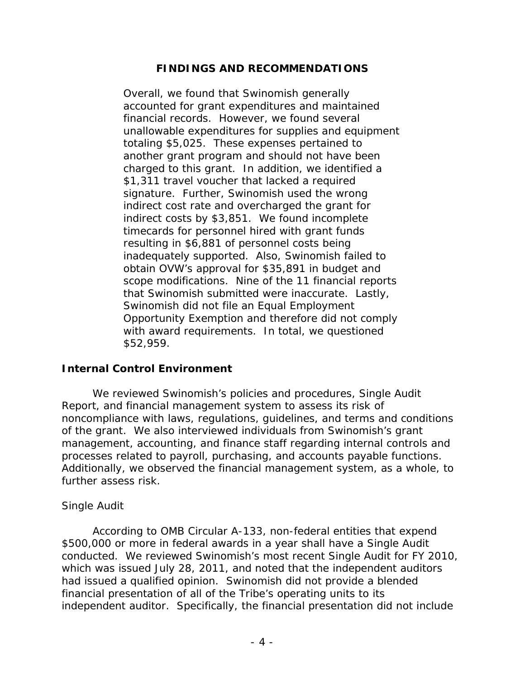### **FINDINGS AND RECOMMENDATIONS**

Overall, we found that Swinomish generally accounted for grant expenditures and maintained financial records. However, we found several unallowable expenditures for supplies and equipment totaling \$5,025. These expenses pertained to another grant program and should not have been charged to this grant. In addition, we identified a \$1,311 travel voucher that lacked a required signature. Further, Swinomish used the wrong indirect cost rate and overcharged the grant for indirect costs by \$3,851. We found incomplete timecards for personnel hired with grant funds resulting in \$6,881 of personnel costs being inadequately supported. Also, Swinomish failed to obtain OVW's approval for \$35,891 in budget and scope modifications. Nine of the 11 financial reports that Swinomish submitted were inaccurate. Lastly, Swinomish did not file an Equal Employment Opportunity Exemption and therefore did not comply with award requirements. In total, we questioned \$52,959.

#### **Internal Control Environment**

We reviewed Swinomish's policies and procedures, Single Audit Report, and financial management system to assess its risk of noncompliance with laws, regulations, guidelines, and terms and conditions of the grant. We also interviewed individuals from Swinomish's grant management, accounting, and finance staff regarding internal controls and processes related to payroll, purchasing, and accounts payable functions. Additionally, we observed the financial management system, as a whole, to further assess risk.

### *Single Audit*

According to OMB Circular A-133, non-federal entities that expend \$500,000 or more in federal awards in a year shall have a Single Audit conducted. We reviewed Swinomish's most recent Single Audit for FY 2010, which was issued July 28, 2011, and noted that the independent auditors had issued a qualified opinion. Swinomish did not provide a blended financial presentation of all of the Tribe's operating units to its independent auditor. Specifically, the financial presentation did not include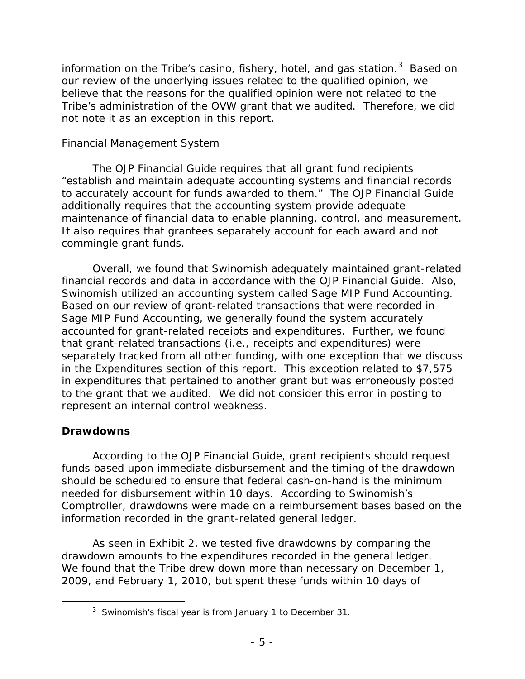information on the Tribe's casino, fishery, hotel, and gas station.<sup>[3](#page-9-0)</sup> Based on our review of the underlying issues related to the qualified opinion, we believe that the reasons for the qualified opinion were not related to the Tribe's administration of the OVW grant that we audited. Therefore, we did not note it as an exception in this report.

### *Financial Management System*

The *OJP Financial Guide* requires that all grant fund recipients "establish and maintain adequate accounting systems and financial records to accurately account for funds awarded to them." The *OJP Financial Guide* additionally requires that the accounting system provide adequate maintenance of financial data to enable planning, control, and measurement. It also requires that grantees separately account for each award and not commingle grant funds.

Overall, we found that Swinomish adequately maintained grant-related financial records and data in accordance with the *OJP Financial Guide*. Also, Swinomish utilized an accounting system called Sage MIP Fund Accounting. Based on our review of grant-related transactions that were recorded in Sage MIP Fund Accounting, we generally found the system accurately accounted for grant-related receipts and expenditures. Further, we found that grant-related transactions (i.e., receipts and expenditures) were separately tracked from all other funding, with one exception that we discuss in the Expenditures section of this report. This exception related to \$7,575 in expenditures that pertained to another grant but was erroneously posted to the grant that we audited. We did not consider this error in posting to represent an internal control weakness.

### **Drawdowns**

According to the *OJP Financial Guide,* grant recipients should request funds based upon immediate disbursement and the timing of the drawdown should be scheduled to ensure that federal cash-on-hand is the minimum needed for disbursement within 10 days. According to Swinomish's Comptroller, drawdowns were made on a reimbursement bases based on the information recorded in the grant-related general ledger.

As seen in Exhibit 2, we tested five drawdowns by comparing the drawdown amounts to the expenditures recorded in the general ledger. We found that the Tribe drew down more than necessary on December 1, 2009, and February 1, 2010, but spent these funds within 10 days of

<span id="page-9-0"></span> $\frac{1}{3}$  $3$  Swinomish's fiscal year is from January 1 to December 31.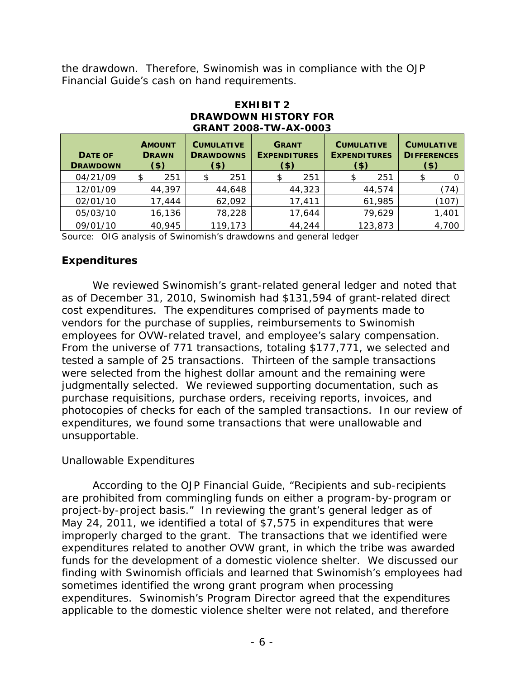the drawdown. Therefore, Swinomish was in compliance with the *OJP Financial Guide's* cash on hand requirements.

| <b>GRANT 2008-TW-AX-0003</b>      |                                          |     |  |                                                  |  |                                                |                                                     |                                                    |       |
|-----------------------------------|------------------------------------------|-----|--|--------------------------------------------------|--|------------------------------------------------|-----------------------------------------------------|----------------------------------------------------|-------|
| <b>DATE OF</b><br><b>DRAWDOWN</b> | <b>AMOUNT</b><br><b>DRAWN</b><br>$($ \$) |     |  | <b>CUMULATIVE</b><br><b>DRAWDOWNS</b><br>$($ \$) |  | <b>GRANT</b><br><b>EXPENDITURES</b><br>$($ \$) | <b>CUMULATIVE</b><br><b>EXPENDITURES</b><br>$($ \$) | <b>CUMULATIVE</b><br><b>DIFFERENCES</b><br>$($ \$) |       |
| 04/21/09                          | \$                                       | 251 |  | 251                                              |  | 251                                            | \$<br>251                                           |                                                    | 0     |
| 12/01/09                          | 44,397                                   |     |  | 44,648                                           |  | 44,323                                         | 44,574                                              |                                                    | (74)  |
| 02/01/10                          | 17,444                                   |     |  | 62,092                                           |  | 17,411                                         | 61,985                                              |                                                    | (107) |
| 05/03/10                          | 16,136                                   |     |  | 78,228                                           |  | 17,644                                         | 79,629                                              |                                                    | 1,401 |
| 09/01/10                          | 40,945                                   |     |  | 119,173                                          |  | 44,244                                         | 123,873                                             |                                                    | 4,700 |

# **EXHIBIT 2 DRAWDOWN HISTORY FOR**

Source: OIG analysis of Swinomish's drawdowns and general ledger

### **Expenditures**

We reviewed Swinomish's grant-related general ledger and noted that as of December 31, 2010, Swinomish had \$131,594 of grant-related direct cost expenditures. The expenditures comprised of payments made to vendors for the purchase of supplies, reimbursements to Swinomish employees for OVW-related travel, and employee's salary compensation. From the universe of 771 transactions, totaling \$177,771, we selected and tested a sample of 25 transactions. Thirteen of the sample transactions were selected from the highest dollar amount and the remaining were judgmentally selected. We reviewed supporting documentation, such as purchase requisitions, purchase orders, receiving reports, invoices, and photocopies of checks for each of the sampled transactions. In our review of expenditures, we found some transactions that were unallowable and unsupportable.

### *Unallowable Expenditures*

According to the *OJP Financial Guide*, "Recipients and sub-recipients are prohibited from commingling funds on either a program-by-program or project-by-project basis." In reviewing the grant's general ledger as of May 24, 2011, we identified a total of \$7,575 in expenditures that were improperly charged to the grant. The transactions that we identified were expenditures related to another OVW grant, in which the tribe was awarded funds for the development of a domestic violence shelter. We discussed our finding with Swinomish officials and learned that Swinomish's employees had sometimes identified the wrong grant program when processing expenditures. Swinomish's Program Director agreed that the expenditures applicable to the domestic violence shelter were not related, and therefore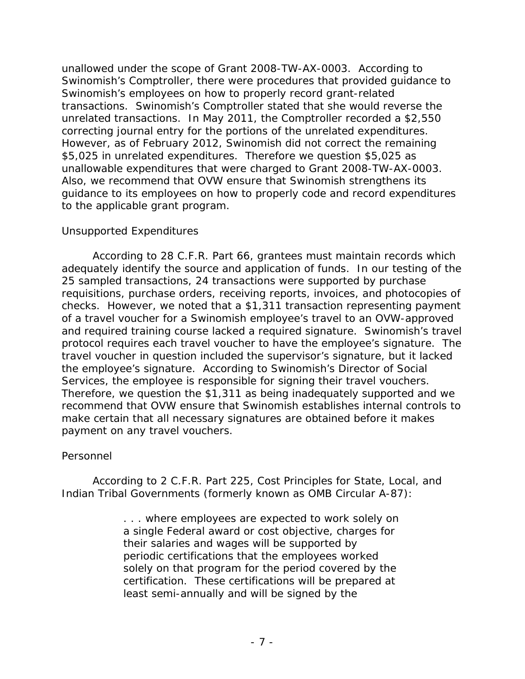unallowed under the scope of Grant 2008-TW-AX-0003. According to Swinomish's Comptroller, there were procedures that provided guidance to Swinomish's employees on how to properly record grant-related transactions. Swinomish's Comptroller stated that she would reverse the unrelated transactions. In May 2011, the Comptroller recorded a \$2,550 correcting journal entry for the portions of the unrelated expenditures. However, as of February 2012, Swinomish did not correct the remaining \$5,025 in unrelated expenditures. Therefore we question \$5,025 as unallowable expenditures that were charged to Grant 2008-TW-AX-0003. Also, we recommend that OVW ensure that Swinomish strengthens its guidance to its employees on how to properly code and record expenditures to the applicable grant program.

### *Unsupported Expenditures*

According to 28 C.F.R. Part 66, grantees must maintain records which adequately identify the source and application of funds. In our testing of the 25 sampled transactions, 24 transactions were supported by purchase requisitions, purchase orders, receiving reports, invoices, and photocopies of checks. However, we noted that a \$1,311 transaction representing payment of a travel voucher for a Swinomish employee's travel to an OVW-approved and required training course lacked a required signature. Swinomish's travel protocol requires each travel voucher to have the employee's signature. The travel voucher in question included the supervisor's signature, but it lacked the employee's signature. According to Swinomish's Director of Social Services, the employee is responsible for signing their travel vouchers. Therefore, we question the \$1,311 as being inadequately supported and we recommend that OVW ensure that Swinomish establishes internal controls to make certain that all necessary signatures are obtained before it makes payment on any travel vouchers.

### *Personnel*

According to 2 C.F.R. Part 225, Cost Principles for State, Local, and Indian Tribal Governments (formerly known as OMB Circular A-87):

> . . . where employees are expected to work solely on a single Federal award or cost objective, charges for their salaries and wages will be supported by periodic certifications that the employees worked solely on that program for the period covered by the certification. These certifications will be prepared at least semi-annually and will be signed by the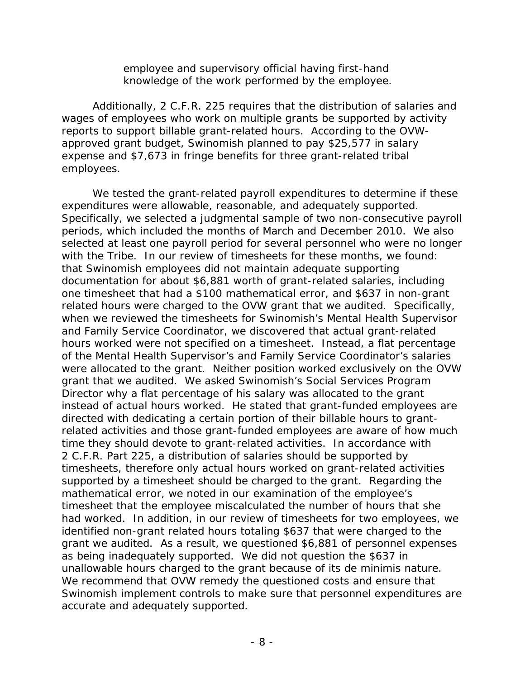employee and supervisory official having first-hand knowledge of the work performed by the employee.

Additionally, 2 C.F.R. 225 requires that the distribution of salaries and wages of employees who work on multiple grants be supported by activity reports to support billable grant-related hours. According to the OVWapproved grant budget, Swinomish planned to pay \$25,577 in salary expense and \$7,673 in fringe benefits for three grant-related tribal employees.

We tested the grant-related payroll expenditures to determine if these expenditures were allowable, reasonable, and adequately supported. Specifically, we selected a judgmental sample of two non-consecutive payroll periods, which included the months of March and December 2010. We also selected at least one payroll period for several personnel who were no longer with the Tribe. In our review of timesheets for these months, we found: that Swinomish employees did not maintain adequate supporting documentation for about \$6,881 worth of grant-related salaries, including one timesheet that had a \$100 mathematical error, and \$637 in non-grant related hours were charged to the OVW grant that we audited. Specifically, when we reviewed the timesheets for Swinomish's Mental Health Supervisor and Family Service Coordinator, we discovered that actual grant-related hours worked were not specified on a timesheet. Instead, a flat percentage of the Mental Health Supervisor's and Family Service Coordinator's salaries were allocated to the grant. Neither position worked exclusively on the OVW grant that we audited. We asked Swinomish's Social Services Program Director why a flat percentage of his salary was allocated to the grant instead of actual hours worked. He stated that grant-funded employees are directed with dedicating a certain portion of their billable hours to grantrelated activities and those grant-funded employees are aware of how much time they should devote to grant-related activities. In accordance with 2 C.F.R. Part 225, a distribution of salaries should be supported by timesheets, therefore only actual hours worked on grant-related activities supported by a timesheet should be charged to the grant. Regarding the mathematical error, we noted in our examination of the employee's timesheet that the employee miscalculated the number of hours that she had worked. In addition, in our review of timesheets for two employees, we identified non-grant related hours totaling \$637 that were charged to the grant we audited. As a result, we questioned \$6,881 of personnel expenses as being inadequately supported. We did not question the \$637 in unallowable hours charged to the grant because of its *de minimis* nature. We recommend that OVW remedy the questioned costs and ensure that Swinomish implement controls to make sure that personnel expenditures are accurate and adequately supported.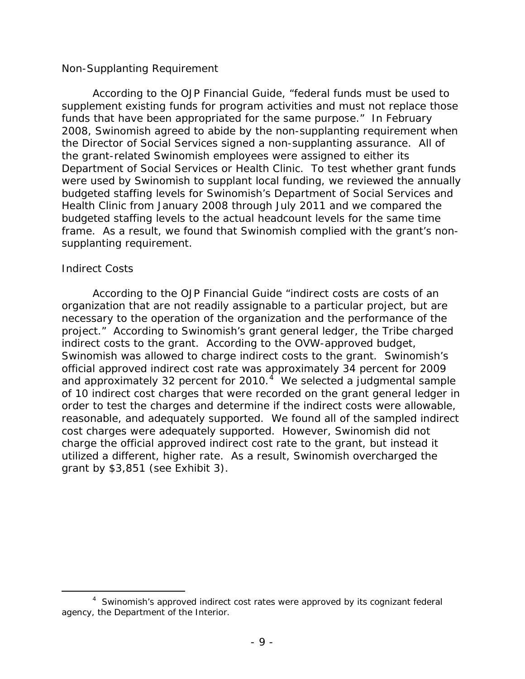#### *Non-Supplanting Requirement*

According to the *OJP Financial Guide*, "federal funds must be used to supplement existing funds for program activities and must not replace those funds that have been appropriated for the same purpose." In February 2008, Swinomish agreed to abide by the non-supplanting requirement when the Director of Social Services signed a non-supplanting assurance. All of the grant-related Swinomish employees were assigned to either its Department of Social Services or Health Clinic. To test whether grant funds were used by Swinomish to supplant local funding, we reviewed the annually budgeted staffing levels for Swinomish's Department of Social Services and Health Clinic from January 2008 through July 2011 and we compared the budgeted staffing levels to the actual headcount levels for the same time frame. As a result, we found that Swinomish complied with the grant's nonsupplanting requirement.

#### *Indirect Costs*

According to the *OJP Financial Guide* "indirect costs are costs of an organization that are not readily assignable to a particular project, but are necessary to the operation of the organization and the performance of the project." According to Swinomish's grant general ledger, the Tribe charged indirect costs to the grant. According to the OVW-approved budget, Swinomish was allowed to charge indirect costs to the grant. Swinomish's official approved indirect cost rate was approximately 34 percent for 2009 and approximately 32 percent for 2010. $4\,$  $4\,$  We selected a judgmental sample of 10 indirect cost charges that were recorded on the grant general ledger in order to test the charges and determine if the indirect costs were allowable, reasonable, and adequately supported. We found all of the sampled indirect cost charges were adequately supported. However, Swinomish did not charge the official approved indirect cost rate to the grant, but instead it utilized a different, higher rate. As a result, Swinomish overcharged the grant by \$3,851 (see Exhibit 3).

<span id="page-13-0"></span> $\overline{a}$ <sup>4</sup> Swinomish's approved indirect cost rates were approved by its cognizant federal agency, the Department of the Interior.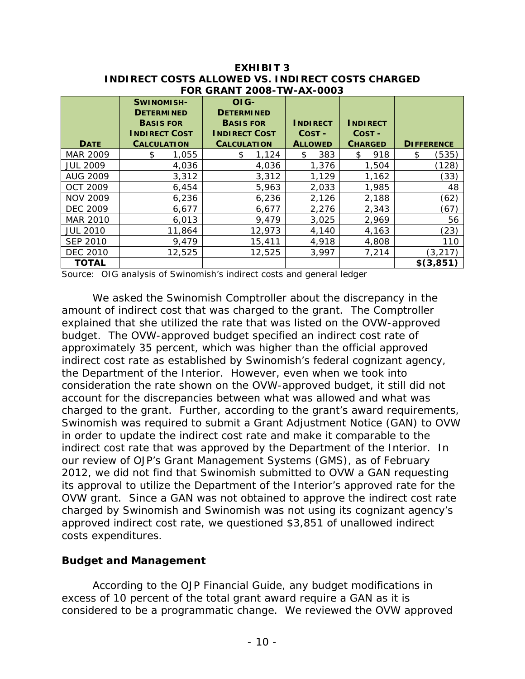|                 |                                                            | FOR GRANT 2008-TW-AX-0003                     |                 |                 |                   |
|-----------------|------------------------------------------------------------|-----------------------------------------------|-----------------|-----------------|-------------------|
|                 | <b>SWINOMISH-</b><br><b>DETERMINED</b><br><b>BASIS FOR</b> | OIG-<br><b>DETERMINED</b><br><b>BASIS FOR</b> | <b>INDIRECT</b> | <b>INDIRECT</b> |                   |
|                 | <b>INDIRECT COST</b>                                       | <b>INDIRECT COST</b>                          | COST-           | COST-           |                   |
| <b>DATE</b>     | <b>CALCULATION</b>                                         | <b>CALCULATION</b>                            | <b>ALLOWED</b>  | <b>CHARGED</b>  | <b>DIFFERENCE</b> |
| MAR 2009        | \$<br>1,055                                                | 1,124<br>\$                                   | 383<br>\$.      | 918<br>\$       | (535)<br>\$       |
| <b>JUL 2009</b> | 4,036                                                      | 4,036                                         | 1,376           | 1,504           | (128)             |
| <b>AUG 2009</b> | 3,312                                                      | 3,312                                         | 1,129           | 1,162           | (33)              |
| <b>OCT 2009</b> | 6,454                                                      | 5,963                                         | 2,033           | 1,985           | 48                |
| <b>NOV 2009</b> | 6,236                                                      | 6,236                                         | 2,126           | 2,188           | (62)              |
| <b>DEC 2009</b> | 6,677                                                      | 6,677                                         | 2,276           | 2,343           | (67)              |
| MAR 2010        | 6,013                                                      | 9,479                                         | 3,025           | 2,969           | 56                |
| <b>JUL 2010</b> | 11,864                                                     | 12,973                                        | 4,140           | 4,163           | (23)              |
| <b>SEP 2010</b> | 9,479                                                      | 15,411                                        | 4,918           | 4,808           | 110               |
| <b>DEC 2010</b> | 12,525                                                     | 12,525                                        | 3,997           | 7,214           | (3, 217)          |
| <b>TOTAL</b>    |                                                            |                                               |                 |                 | \$(3,851)         |

**EXHIBIT 3 INDIRECT COSTS ALLOWED VS. INDIRECT COSTS CHARGED FOR GRANT 2008-TW-AX-0003** 

Source: OIG analysis of Swinomish's indirect costs and general ledger

We asked the Swinomish Comptroller about the discrepancy in the amount of indirect cost that was charged to the grant. The Comptroller explained that she utilized the rate that was listed on the OVW-approved budget. The OVW-approved budget specified an indirect cost rate of approximately 35 percent, which was higher than the official approved indirect cost rate as established by Swinomish's federal cognizant agency, the Department of the Interior. However, even when we took into consideration the rate shown on the OVW-approved budget, it still did not account for the discrepancies between what was allowed and what was charged to the grant. Further, according to the grant's award requirements, Swinomish was required to submit a Grant Adjustment Notice (GAN) to OVW in order to update the indirect cost rate and make it comparable to the indirect cost rate that was approved by the Department of the Interior. In our review of OJP's Grant Management Systems (GMS), as of February 2012, we did not find that Swinomish submitted to OVW a GAN requesting its approval to utilize the Department of the Interior's approved rate for the OVW grant. Since a GAN was not obtained to approve the indirect cost rate charged by Swinomish and Swinomish was not using its cognizant agency's approved indirect cost rate, we questioned \$3,851 of unallowed indirect costs expenditures.

### **Budget and Management**

According to the *OJP Financial Guide,* any budget modifications in excess of 10 percent of the total grant award require a GAN as it is considered to be a programmatic change. We reviewed the OVW approved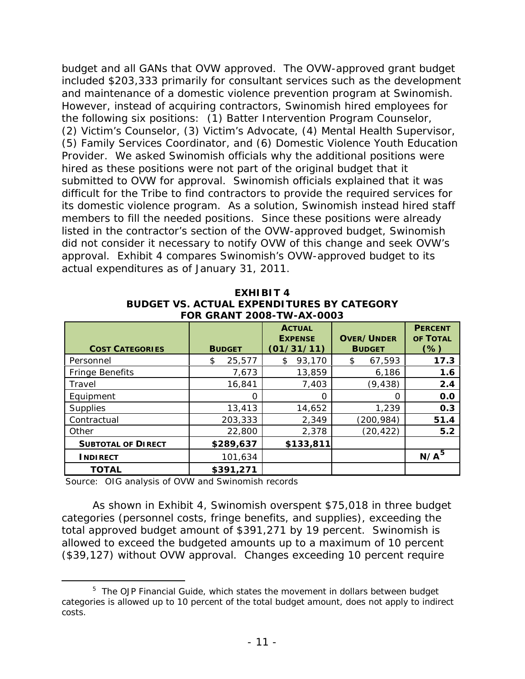budget and all GANs that OVW approved. The OVW-approved grant budget included \$203,333 primarily for consultant services such as the development and maintenance of a domestic violence prevention program at Swinomish. However, instead of acquiring contractors, Swinomish hired employees for the following six positions: (1) Batter Intervention Program Counselor, (2) Victim's Counselor, (3) Victim's Advocate, (4) Mental Health Supervisor, (5) Family Services Coordinator, and (6) Domestic Violence Youth Education Provider. We asked Swinomish officials why the additional positions were hired as these positions were not part of the original budget that it submitted to OVW for approval. Swinomish officials explained that it was difficult for the Tribe to find contractors to provide the required services for its domestic violence program. As a solution, Swinomish instead hired staff members to fill the needed positions. Since these positions were already listed in the contractor's section of the OVW-approved budget, Swinomish did not consider it necessary to notify OVW of this change and seek OVW's approval. Exhibit 4 compares Swinomish's OVW-approved budget to its actual expenditures as of January 31, 2011.

|                        | BUDGET VS. ACTUAL EXPENDITURES BY CATEGORY<br>FOR GRANT 2008-TW-AX-0003 |                                               |                                    |                                   |
|------------------------|-------------------------------------------------------------------------|-----------------------------------------------|------------------------------------|-----------------------------------|
| <b>COST CATEGORIES</b> | <b>BUDGET</b>                                                           | <b>ACTUAL</b><br><b>EXPENSE</b><br>(01/31/11) | <b>OVER/UNDER</b><br><b>BUDGET</b> | <b>PERCENT</b><br>OF TOTAL<br>(%) |
| Personnel              | 25,577<br>\$                                                            | 93,170<br>S                                   | 67,593<br>\$                       | 17.3                              |
| <b>Fringe Benefits</b> | 7,673                                                                   | 13,859                                        | 6,186                              | 1.6                               |
| Travel                 | 16,841                                                                  | 7,403                                         | (9, 438)                           | 2.4                               |
| Equipment              | O                                                                       |                                               |                                    | 0.0                               |
| Supplies               | 13,413                                                                  | 14,652                                        | 1,239                              | 0.3                               |
| Contractual            | 203,333                                                                 | 2,349                                         | (200, 984)                         | 51.4                              |

Other 22,800 2,378 (20,422) **5.2** 

**INDIRECT** 101,634 **N/A<sup>[5](#page-15-0)</sup>** 

**EXHIBIT 4 BUDGET VS. ACTUAL EXPENDITURES BY CATEGORY**

Source: OIG analysis of OVW and Swinomish records

 **TOTAL \$391,271** 

**SUBTOTAL OF DIRECT**  $\begin{array}{|c|c|c|c|c|} \hline \text{$} & \text{\$} & \text{\$} & \text{\$} & \text{\$} & \text{\$} & \text{\$} & \text{\$} & \text{\$} & \text{\$} & \text{\$} & \text{\$} & \text{\$} & \text{\$} & \text{\$} & \text{\$} & \text{\$} & \text{\$} & \text{\$} & \text{\$} & \text{\$} & \text{\$} & \text{\$} & \text{\$} & \text{\$} & \text{\$} & \text{\$} & \text{\$} & \text{\$} & \text{\$} &$ 

As shown in Exhibit 4, Swinomish overspent \$75,018 in three budget categories (personnel costs, fringe benefits, and supplies), exceeding the total approved budget amount of \$391,271 by 19 percent. Swinomish is allowed to exceed the budgeted amounts up to a maximum of 10 percent (\$39,127) without OVW approval. Changes exceeding 10 percent require

<span id="page-15-0"></span> $\frac{1}{5}$ <sup>5</sup> The *OJP Financial Guide*, which states the movement in dollars between budget categories is allowed up to 10 percent of the total budget amount, does not apply to indirect costs.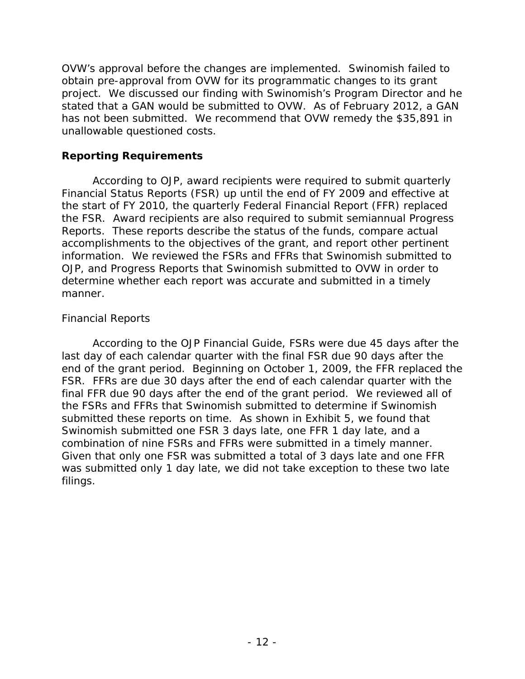OVW's approval before the changes are implemented. Swinomish failed to obtain pre-approval from OVW for its programmatic changes to its grant project. We discussed our finding with Swinomish's Program Director and he stated that a GAN would be submitted to OVW. As of February 2012, a GAN has not been submitted. We recommend that OVW remedy the \$35,891 in unallowable questioned costs.

### **Reporting Requirements**

According to OJP, award recipients were required to submit quarterly Financial Status Reports (FSR) up until the end of FY 2009 and effective at the start of FY 2010, the quarterly Federal Financial Report (FFR) replaced the FSR. Award recipients are also required to submit semiannual Progress Reports. These reports describe the status of the funds, compare actual accomplishments to the objectives of the grant, and report other pertinent information. We reviewed the FSRs and FFRs that Swinomish submitted to OJP, and Progress Reports that Swinomish submitted to OVW in order to determine whether each report was accurate and submitted in a timely manner.

### *Financial Reports*

According to the *OJP Financial Guide*, FSRs were due 45 days after the last day of each calendar quarter with the final FSR due 90 days after the end of the grant period. Beginning on October 1, 2009, the FFR replaced the FSR. FFRs are due 30 days after the end of each calendar quarter with the final FFR due 90 days after the end of the grant period. We reviewed all of the FSRs and FFRs that Swinomish submitted to determine if Swinomish submitted these reports on time. As shown in Exhibit 5, we found that Swinomish submitted one FSR 3 days late, one FFR 1 day late, and a combination of nine FSRs and FFRs were submitted in a timely manner. Given that only one FSR was submitted a total of 3 days late and one FFR was submitted only 1 day late, we did not take exception to these two late filings.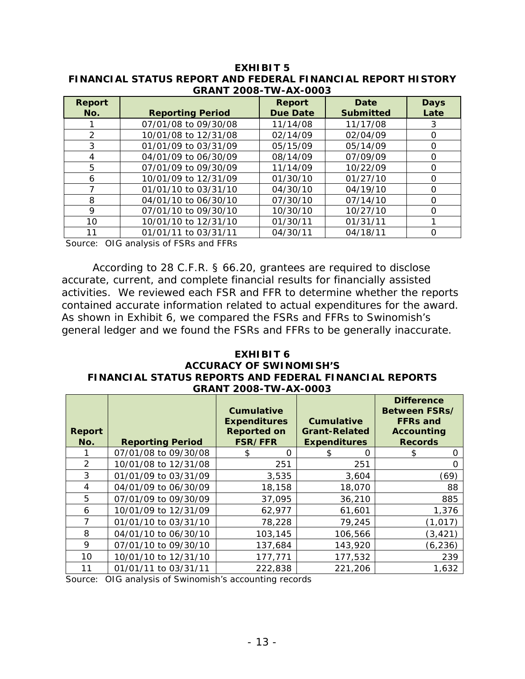| <b>Report</b><br>No. | <b>Reporting Period</b> | <b>Report</b><br><b>Due Date</b> | Date<br><b>Submitted</b> | <b>Days</b><br>Late |
|----------------------|-------------------------|----------------------------------|--------------------------|---------------------|
|                      | 07/01/08 to 09/30/08    | 11/14/08                         | 11/17/08                 | 3                   |
| $\mathcal{P}$        | 10/01/08 to 12/31/08    | 02/14/09                         | 02/04/09                 | O                   |
| 3                    | 01/01/09 to 03/31/09    | 05/15/09                         | 05/14/09                 | $\Omega$            |
| 4                    | 04/01/09 to 06/30/09    | 08/14/09                         | 07/09/09                 | 0                   |
| 5                    | 07/01/09 to 09/30/09    | 11/14/09                         | 10/22/09                 | O                   |
| 6                    | 10/01/09 to 12/31/09    | 01/30/10                         | 01/27/10                 | O                   |
|                      | 01/01/10 to 03/31/10    | 04/30/10                         | 04/19/10                 | O                   |
| 8                    | 04/01/10 to 06/30/10    | 07/30/10                         | 07/14/10                 | O                   |
| 9                    | 07/01/10 to 09/30/10    | 10/30/10                         | 10/27/10                 | 0                   |
| $10 \,$              | 10/01/10 to 12/31/10    | 01/30/11                         | 01/31/11                 |                     |
| 11                   | 01/01/11 to 03/31/11    | 04/30/11                         | 04/18/11                 | ∩                   |

**EXHIBIT 5 FINANCIAL STATUS REPORT AND FEDERAL FINANCIAL REPORT HISTORY GRANT 2008-TW-AX-0003**

Source: OIG analysis of FSRs and FFRs

According to 28 C.F.R. § 66.20, grantees are required to disclose accurate, current, and complete financial results for financially assisted activities. We reviewed each FSR and FFR to determine whether the reports contained accurate information related to actual expenditures for the award. As shown in Exhibit 6, we compared the FSRs and FFRs to Swinomish's general ledger and we found the FSRs and FFRs to be generally inaccurate.

#### **EXHIBIT 6 ACCURACY OF SWINOMISH'S FINANCIAL STATUS REPORTS AND FEDERAL FINANCIAL REPORTS GRANT 2008-TW-AX-0003**

| <b>Report</b><br>No. | <b>Reporting Period</b> | <b>Cumulative</b><br><b>Expenditures</b><br><b>Reported on</b><br><b>FSR/FFR</b> | <b>Cumulative</b><br><b>Grant-Related</b><br><b>Expenditures</b> | <b>Difference</b><br>Between FSRs/<br><b>FFRs and</b><br><b>Accounting</b><br><b>Records</b> |
|----------------------|-------------------------|----------------------------------------------------------------------------------|------------------------------------------------------------------|----------------------------------------------------------------------------------------------|
|                      | 07/01/08 to 09/30/08    | $\Omega$                                                                         | O                                                                | O                                                                                            |
| $\mathcal{P}$        | 10/01/08 to 12/31/08    | 251                                                                              | 251                                                              |                                                                                              |
| 3                    | 01/01/09 to 03/31/09    | 3,535                                                                            | 3,604                                                            | (69)                                                                                         |
| 4                    | 04/01/09 to 06/30/09    | 18,158                                                                           | 18,070                                                           | 88                                                                                           |
| 5                    | 07/01/09 to 09/30/09    | 37,095                                                                           | 36,210                                                           | 885                                                                                          |
| 6                    | 10/01/09 to 12/31/09    | 62,977                                                                           | 61,601                                                           | 1,376                                                                                        |
|                      | 01/01/10 to 03/31/10    | 78,228                                                                           | 79,245                                                           | (1, 017)                                                                                     |
| 8                    | 04/01/10 to 06/30/10    | 103,145                                                                          | 106,566                                                          | (3, 421)                                                                                     |
| 9                    | 07/01/10 to 09/30/10    | 137,684                                                                          | 143,920                                                          | (6, 236)                                                                                     |
| 10                   | 10/01/10 to 12/31/10    | 177,771                                                                          | 177,532                                                          | 239                                                                                          |
| 11                   | 01/01/11 to 03/31/11    | 222,838                                                                          | 221,206                                                          | 1,632                                                                                        |

Source: OIG analysis of Swinomish's accounting records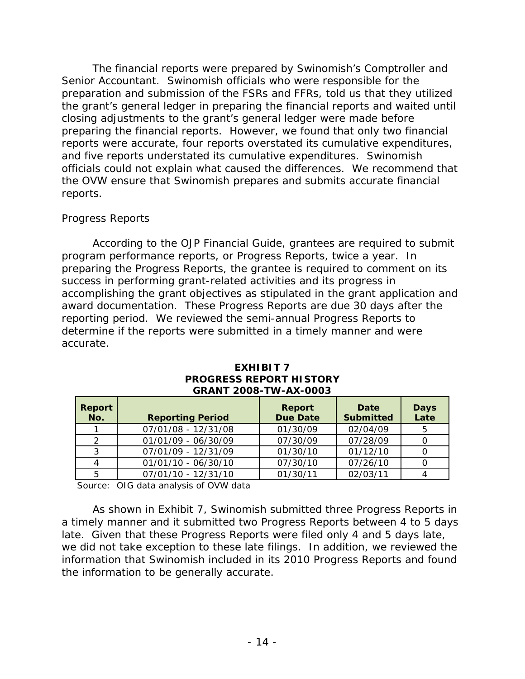The financial reports were prepared by Swinomish's Comptroller and Senior Accountant. Swinomish officials who were responsible for the preparation and submission of the FSRs and FFRs, told us that they utilized the grant's general ledger in preparing the financial reports and waited until closing adjustments to the grant's general ledger were made before preparing the financial reports. However, we found that only two financial reports were accurate, four reports overstated its cumulative expenditures, and five reports understated its cumulative expenditures. Swinomish officials could not explain what caused the differences. We recommend that the OVW ensure that Swinomish prepares and submits accurate financial reports.

#### *Progress Reports*

According to the *OJP Financial Guide,* grantees are required to submit program performance reports, or Progress Reports, twice a year. In preparing the Progress Reports, the grantee is required to comment on its success in performing grant-related activities and its progress in accomplishing the grant objectives as stipulated in the grant application and award documentation. These Progress Reports are due 30 days after the reporting period. We reviewed the semi-annual Progress Reports to determine if the reports were submitted in a timely manner and were accurate.

| Report<br>No. | <b>Reporting Period</b> | Report<br><b>Due Date</b> | Date<br><b>Submitted</b> | <b>Days</b><br>Late |
|---------------|-------------------------|---------------------------|--------------------------|---------------------|
|               | 07/01/08 - 12/31/08     | 01/30/09                  | 02/04/09                 | 5                   |
| $\mathcal{P}$ | 01/01/09 - 06/30/09     | 07/30/09                  | 07/28/09                 |                     |
| 3             | 07/01/09 - 12/31/09     | 01/30/10                  | 01/12/10                 |                     |
|               | 01/01/10 - 06/30/10     | 07/30/10                  | 07/26/10                 |                     |
| 5             | 07/01/10 - 12/31/10     | 01/30/11                  | 02/03/11                 |                     |

#### **EXHIBIT 7 PROGRESS REPORT HISTORY GRANT 2008-TW-AX-0003**

Source: OIG data analysis of OVW data

As shown in Exhibit 7, Swinomish submitted three Progress Reports in a timely manner and it submitted two Progress Reports between 4 to 5 days late. Given that these Progress Reports were filed only 4 and 5 days late, we did not take exception to these late filings. In addition, we reviewed the information that Swinomish included in its 2010 Progress Reports and found the information to be generally accurate.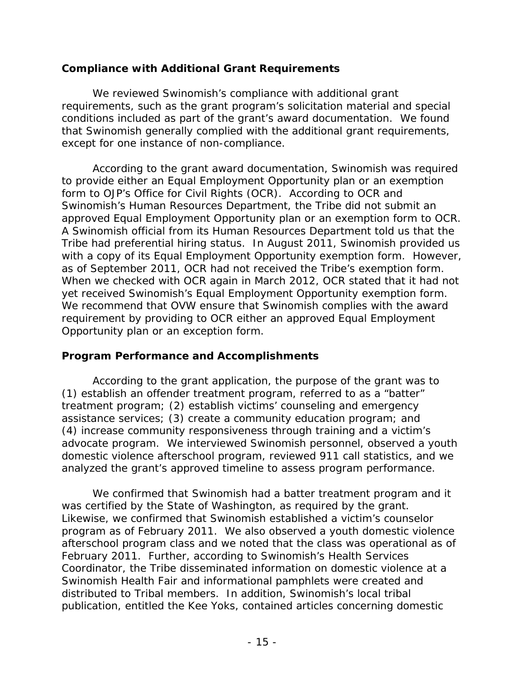### **Compliance with Additional Grant Requirements**

We reviewed Swinomish's compliance with additional grant requirements, such as the grant program's solicitation material and special conditions included as part of the grant's award documentation. We found that Swinomish generally complied with the additional grant requirements, except for one instance of non-compliance.

According to the grant award documentation, Swinomish was required to provide either an Equal Employment Opportunity plan or an exemption form to OJP's Office for Civil Rights (OCR). According to OCR and Swinomish's Human Resources Department, the Tribe did not submit an approved Equal Employment Opportunity plan or an exemption form to OCR. A Swinomish official from its Human Resources Department told us that the Tribe had preferential hiring status. In August 2011, Swinomish provided us with a copy of its Equal Employment Opportunity exemption form. However, as of September 2011, OCR had not received the Tribe's exemption form. When we checked with OCR again in March 2012, OCR stated that it had not yet received Swinomish's Equal Employment Opportunity exemption form. We recommend that OVW ensure that Swinomish complies with the award requirement by providing to OCR either an approved Equal Employment Opportunity plan or an exception form.

### **Program Performance and Accomplishments**

According to the grant application, the purpose of the grant was to (1) establish an offender treatment program, referred to as a "batter" treatment program; (2) establish victims' counseling and emergency assistance services; (3) create a community education program; and (4) increase community responsiveness through training and a victim's advocate program. We interviewed Swinomish personnel, observed a youth domestic violence afterschool program, reviewed 911 call statistics, and we analyzed the grant's approved timeline to assess program performance.

We confirmed that Swinomish had a batter treatment program and it was certified by the State of Washington, as required by the grant. Likewise, we confirmed that Swinomish established a victim's counselor program as of February 2011. We also observed a youth domestic violence afterschool program class and we noted that the class was operational as of February 2011. Further, according to Swinomish's Health Services Coordinator, the Tribe disseminated information on domestic violence at a Swinomish Health Fair and informational pamphlets were created and distributed to Tribal members. In addition, Swinomish's local tribal publication, entitled the *Kee Yoks*, contained articles concerning domestic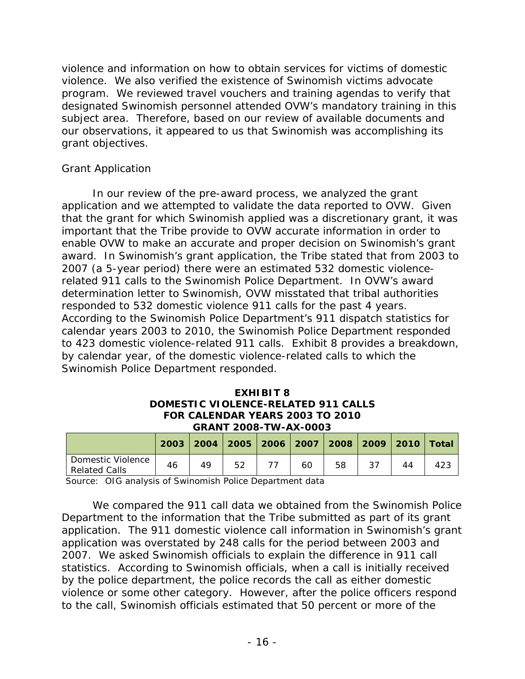violence and information on how to obtain services for victims of domestic violence. We also verified the existence of Swinomish victims advocate program. We reviewed travel vouchers and training agendas to verify that designated Swinomish personnel attended OVW's mandatory training in this subject area. Therefore, based on our review of available documents and our observations, it appeared to us that Swinomish was accomplishing its grant objectives.

### *Grant Application*

In our review of the pre-award process, we analyzed the grant application and we attempted to validate the data reported to OVW. Given that the grant for which Swinomish applied was a discretionary grant, it was important that the Tribe provide to OVW accurate information in order to enable OVW to make an accurate and proper decision on Swinomish's grant award. In Swinomish's grant application, the Tribe stated that from 2003 to 2007 (a 5-year period) there were an estimated 532 domestic violencerelated 911 calls to the Swinomish Police Department. In OVW's award determination letter to Swinomish, OVW misstated that tribal authorities responded to 532 domestic violence 911 calls for the past 4 years. According to the Swinomish Police Department's 911 dispatch statistics for calendar years 2003 to 2010, the Swinomish Police Department responded to 423 domestic violence-related 911 calls. Exhibit 8 provides a breakdown, by calendar year, of the domestic violence-related calls to which the Swinomish Police Department responded.

#### **EXHIBIT 8 DOMESTIC VIOLENCE-RELATED 911 CALLS FOR CALENDAR YEARS 2003 TO 2010 GRANT 2008-TW-AX-0003**

|                                           |    |    |  |    |    | 2003   2004   2005   2006   2007   2008   2009   2010   Total |     |
|-------------------------------------------|----|----|--|----|----|---------------------------------------------------------------|-----|
| Domestic Violence<br><b>Related Calls</b> | 46 | 49 |  | 60 | 58 |                                                               | 423 |

Source: OIG analysis of Swinomish Police Department data

We compared the 911 call data we obtained from the Swinomish Police Department to the information that the Tribe submitted as part of its grant application. The 911 domestic violence call information in Swinomish's grant application was overstated by 248 calls for the period between 2003 and 2007. We asked Swinomish officials to explain the difference in 911 call statistics. According to Swinomish officials, when a call is initially received by the police department, the police records the call as either domestic violence or some other category. However, after the police officers respond to the call, Swinomish officials estimated that 50 percent or more of the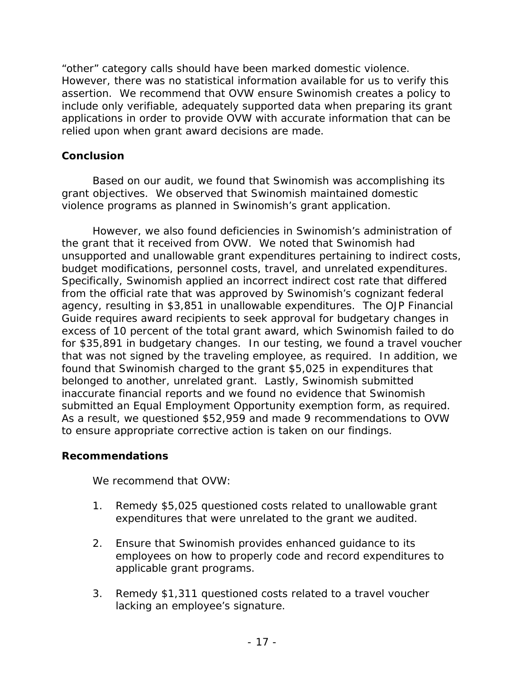"other" category calls should have been marked domestic violence. However, there was no statistical information available for us to verify this assertion. We recommend that OVW ensure Swinomish creates a policy to include only verifiable, adequately supported data when preparing its grant applications in order to provide OVW with accurate information that can be relied upon when grant award decisions are made.

### **Conclusion**

Based on our audit, we found that Swinomish was accomplishing its grant objectives. We observed that Swinomish maintained domestic violence programs as planned in Swinomish's grant application.

However, we also found deficiencies in Swinomish's administration of the grant that it received from OVW. We noted that Swinomish had unsupported and unallowable grant expenditures pertaining to indirect costs, budget modifications, personnel costs, travel, and unrelated expenditures. Specifically, Swinomish applied an incorrect indirect cost rate that differed from the official rate that was approved by Swinomish's cognizant federal agency, resulting in \$3,851 in unallowable expenditures. The *OJP Financial Guide* requires award recipients to seek approval for budgetary changes in excess of 10 percent of the total grant award, which Swinomish failed to do for \$35,891 in budgetary changes. In our testing, we found a travel voucher that was not signed by the traveling employee, as required. In addition, we found that Swinomish charged to the grant \$5,025 in expenditures that belonged to another, unrelated grant. Lastly, Swinomish submitted inaccurate financial reports and we found no evidence that Swinomish submitted an Equal Employment Opportunity exemption form, as required. As a result, we questioned \$52,959 and made 9 recommendations to OVW to ensure appropriate corrective action is taken on our findings.

### **Recommendations**

We recommend that OVW:

- 1. Remedy \$5,025 questioned costs related to unallowable grant expenditures that were unrelated to the grant we audited.
- 2. Ensure that Swinomish provides enhanced guidance to its employees on how to properly code and record expenditures to applicable grant programs.
- 3. Remedy \$1,311 questioned costs related to a travel voucher lacking an employee's signature.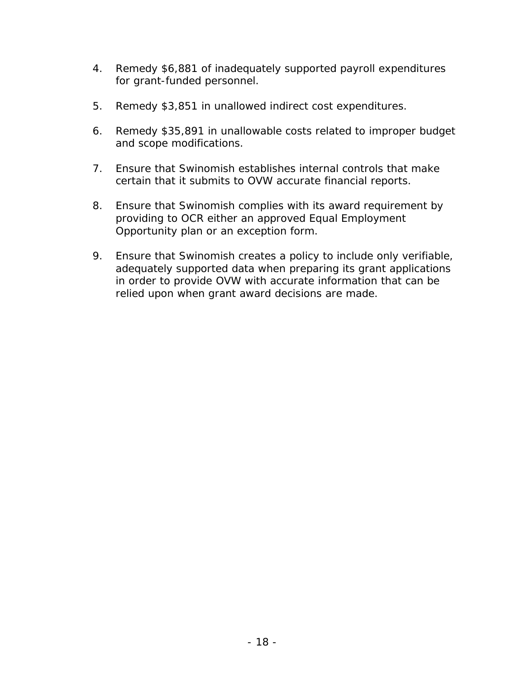- 4. Remedy \$6,881 of inadequately supported payroll expenditures for grant-funded personnel.
- 5. Remedy \$3,851 in unallowed indirect cost expenditures.
- 6. Remedy \$35,891 in unallowable costs related to improper budget and scope modifications.
- 7. Ensure that Swinomish establishes internal controls that make certain that it submits to OVW accurate financial reports.
- 8. Ensure that Swinomish complies with its award requirement by providing to OCR either an approved Equal Employment Opportunity plan or an exception form.
- 9. Ensure that Swinomish creates a policy to include only verifiable, adequately supported data when preparing its grant applications in order to provide OVW with accurate information that can be relied upon when grant award decisions are made.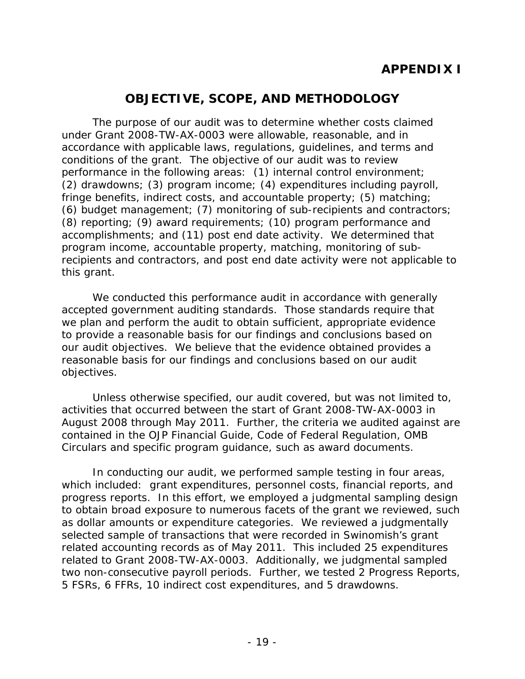# **APPENDIX I**

# **OBJECTIVE, SCOPE, AND METHODOLOGY**

The purpose of our audit was to determine whether costs claimed under Grant 2008-TW-AX-0003 were allowable, reasonable, and in accordance with applicable laws, regulations, guidelines, and terms and conditions of the grant. The objective of our audit was to review performance in the following areas: (1) internal control environment; (2) drawdowns; (3) program income; (4) expenditures including payroll, fringe benefits, indirect costs, and accountable property; (5) matching; (6) budget management; (7) monitoring of sub-recipients and contractors; (8) reporting; (9) award requirements; (10) program performance and accomplishments; and (11) post end date activity. We determined that program income, accountable property, matching, monitoring of subrecipients and contractors, and post end date activity were not applicable to this grant.

We conducted this performance audit in accordance with generally accepted government auditing standards. Those standards require that we plan and perform the audit to obtain sufficient, appropriate evidence to provide a reasonable basis for our findings and conclusions based on our audit objectives. We believe that the evidence obtained provides a reasonable basis for our findings and conclusions based on our audit objectives.

Unless otherwise specified, our audit covered, but was not limited to, activities that occurred between the start of Grant 2008-TW-AX-0003 in August 2008 through May 2011. Further, the criteria we audited against are contained in the *OJP Financial Guide,* Code of Federal Regulation, OMB Circulars and specific program guidance, such as award documents.

In conducting our audit, we performed sample testing in four areas, which included: grant expenditures, personnel costs, financial reports, and progress reports. In this effort, we employed a judgmental sampling design to obtain broad exposure to numerous facets of the grant we reviewed, such as dollar amounts or expenditure categories. We reviewed a judgmentally selected sample of transactions that were recorded in Swinomish's grant related accounting records as of May 2011. This included 25 expenditures related to Grant 2008-TW-AX-0003. Additionally, we judgmental sampled two non-consecutive payroll periods. Further, we tested 2 Progress Reports, 5 FSRs, 6 FFRs, 10 indirect cost expenditures, and 5 drawdowns.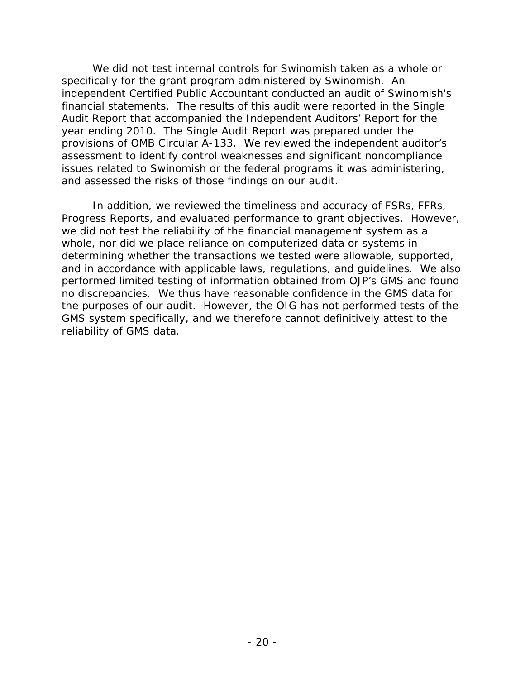We did not test internal controls for Swinomish taken as a whole or specifically for the grant program administered by Swinomish. An independent Certified Public Accountant conducted an audit of Swinomish's financial statements. The results of this audit were reported in the Single Audit Report that accompanied the Independent Auditors' Report for the year ending 2010. The Single Audit Report was prepared under the provisions of OMB Circular A-133. We reviewed the independent auditor's assessment to identify control weaknesses and significant noncompliance issues related to Swinomish or the federal programs it was administering, and assessed the risks of those findings on our audit.

In addition, we reviewed the timeliness and accuracy of FSRs, FFRs, Progress Reports, and evaluated performance to grant objectives. However, we did not test the reliability of the financial management system as a whole, nor did we place reliance on computerized data or systems in determining whether the transactions we tested were allowable, supported, and in accordance with applicable laws, regulations, and guidelines. We also performed limited testing of information obtained from OJP's GMS and found no discrepancies. We thus have reasonable confidence in the GMS data for the purposes of our audit. However, the OIG has not performed tests of the GMS system specifically, and we therefore cannot definitively attest to the reliability of GMS data.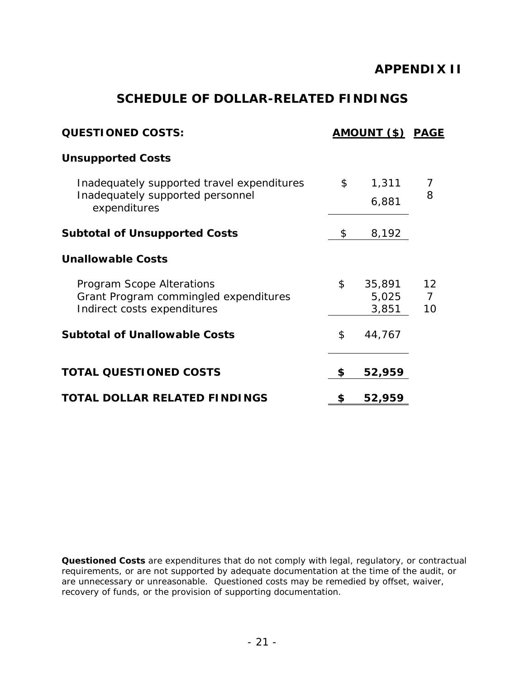## **APPENDIX II**

## **SCHEDULE OF DOLLAR-RELATED FINDINGS**

| <b>QUESTIONED COSTS:</b>                                             |                | <b>AMOUNT (\$) PAGE</b> |                      |
|----------------------------------------------------------------------|----------------|-------------------------|----------------------|
| <b>Unsupported Costs</b>                                             |                |                         |                      |
| Inadequately supported travel expenditures                           | $\mathfrak{S}$ | 1,311                   | 7                    |
| Inadequately supported personnel<br>expenditures                     |                | 6,881                   | 8                    |
| <b>Subtotal of Unsupported Costs</b>                                 | \$             | 8,192                   |                      |
| <b>Unallowable Costs</b>                                             |                |                         |                      |
| Program Scope Alterations                                            | \$             | 35,891                  | 12                   |
| Grant Program commingled expenditures<br>Indirect costs expenditures |                | 5,025<br>3,851          | $\overline{7}$<br>10 |
| <b>Subtotal of Unallowable Costs</b>                                 | \$             | 44,767                  |                      |
| <b>TOTAL QUESTIONED COSTS</b>                                        | \$             | 52,959                  |                      |
| <b>TOTAL DOLLAR RELATED FINDINGS</b>                                 | \$             | 52,959                  |                      |

*Questioned Costs* are expenditures that do not comply with legal, regulatory, or contractual requirements, or are not supported by adequate documentation at the time of the audit, or are unnecessary or unreasonable. Questioned costs may be remedied by offset, waiver, recovery of funds, or the provision of supporting documentation.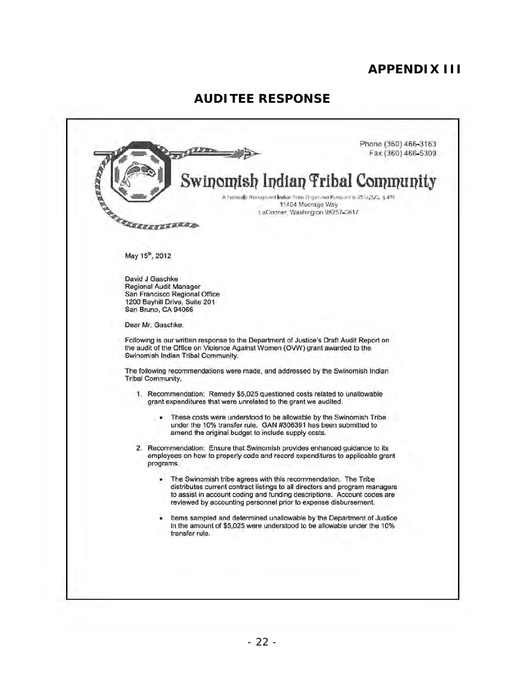# **APPENDIX III**

# **AUDITEE RESPONSE**

|            | Phone (360) 466-3163<br>Fax (360) 466-5309                                                                                                                                                                                                                                                  |
|------------|---------------------------------------------------------------------------------------------------------------------------------------------------------------------------------------------------------------------------------------------------------------------------------------------|
|            | Swinomish Indian Tribal Community<br>A Forthcally Burnaprized bulkan Tribe Gripin and Puremini to 25 to 3.C. \$476<br>11404 Moorage Way<br>LaConner, Washington 98257-0817                                                                                                                  |
| RANKERKERK |                                                                                                                                                                                                                                                                                             |
|            | May 15 <sup>th</sup> , 2012                                                                                                                                                                                                                                                                 |
|            | David J Gaschke<br>Regional Audit Manager<br>San Francisco Regional Office<br>1200 Bayhill Drive, Suite 201<br>San Bruno, CA 94066                                                                                                                                                          |
|            | Dear Mr. Gaschke:                                                                                                                                                                                                                                                                           |
|            | Following is our written response to the Department of Justice's Draft Audit Report on<br>the audit of the Office on Violence Against Women (OVW) grant awarded to the<br>Swinomish Indian Tribal Community.                                                                                |
|            | The following recommendations were made, and addressed by the Swinomish Indian<br><b>Tribal Community.</b>                                                                                                                                                                                  |
|            | 1. Recommendation: Remedy \$5,025 questioned costs related to unallowable<br>grant expenditures that were unrelated to the grant we audited.                                                                                                                                                |
|            | These costs were understood to be allowable by the Swinomish Tribe<br>under the 10% transfer rule. GAN #306391 has been submitted to<br>amend the original budget to include supply costs.                                                                                                  |
|            | 2. Recommendation: Ensure that Swinomish provides enhanced guidance to its<br>employees on how to properly code and record expenditures to applicable grant<br>programs.                                                                                                                    |
|            | The Swinomish tribe agrees with this recommendation. The Tribe<br>distributes current contract listings to all directors and program managers<br>to assist in account coding and funding descriptions. Account codes are<br>reviewed by accounting personnel prior to expense disbursement. |
|            | Items sampled and determined unallowable by the Department of Justice<br>in the amount of \$5,025 were understood to be allowable under the 10%<br>transfer rule.                                                                                                                           |
|            |                                                                                                                                                                                                                                                                                             |
|            |                                                                                                                                                                                                                                                                                             |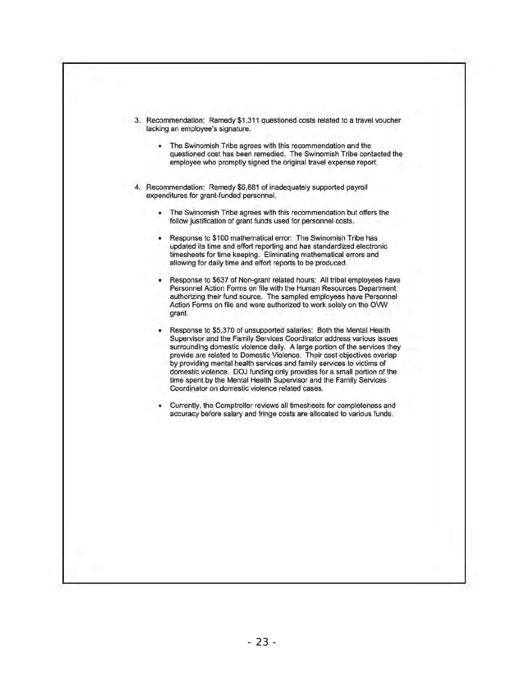| 3. Recommendation: Remedy \$1,311 questioned costs related to a travel voucher<br>lacking an employee's signature.                                                                                                                                                                                                                                                                                                                                                                                                                                                                |
|-----------------------------------------------------------------------------------------------------------------------------------------------------------------------------------------------------------------------------------------------------------------------------------------------------------------------------------------------------------------------------------------------------------------------------------------------------------------------------------------------------------------------------------------------------------------------------------|
| The Swinomish Tribe agrees with this recommendation and the<br>questioned cost has been remedied. The Swinomish Tribe contacted the<br>employee who promptly signed the original travel expense report.                                                                                                                                                                                                                                                                                                                                                                           |
| 4. Recommendation: Remedy \$6,881 of inadequately supported payroll<br>expenditures for grant-funded personnel.                                                                                                                                                                                                                                                                                                                                                                                                                                                                   |
| The Swinomish Tribe agrees with this recommendation but offers the<br>follow justification of grant funds used for personnel costs.                                                                                                                                                                                                                                                                                                                                                                                                                                               |
| Response to \$100 mathematical error: The Swinomish Tribe has<br>updated its time and effort reporting and has standardized electronic<br>timesheets for time keeping. Eliminating mathematical errors and<br>allowing for daily time and effort reports to be produced.                                                                                                                                                                                                                                                                                                          |
| Response to \$637 of Non-grant related hours: All tribal employees have<br>Personnel Action Forms on file with the Human Resources Department<br>authorizing their fund source. The sampled employees have Personnel<br>Action Forms on file and were authorized to work solely on the OVW<br>grant.                                                                                                                                                                                                                                                                              |
| Response to \$5,370 of unsupported salaries: Both the Mental Health<br>Supervisor and the Family Services Coordinator address various issues<br>surrounding domestic violence daily. A large portion of the services they<br>provide are related to Domestic Violence. Their cost objectives overlap<br>by providing mental health services and family services to victims of<br>domestic violence. DOJ funding only provides for a small portion of the<br>time spent by the Mental Health Supervisor and the Family Services<br>Coordinator on domestic violence related cases. |
| Currently, the Comptroller reviews all timesheets for completeness and<br>accuracy before salary and fringe costs are allocated to various funds.                                                                                                                                                                                                                                                                                                                                                                                                                                 |
|                                                                                                                                                                                                                                                                                                                                                                                                                                                                                                                                                                                   |
|                                                                                                                                                                                                                                                                                                                                                                                                                                                                                                                                                                                   |
|                                                                                                                                                                                                                                                                                                                                                                                                                                                                                                                                                                                   |
|                                                                                                                                                                                                                                                                                                                                                                                                                                                                                                                                                                                   |
|                                                                                                                                                                                                                                                                                                                                                                                                                                                                                                                                                                                   |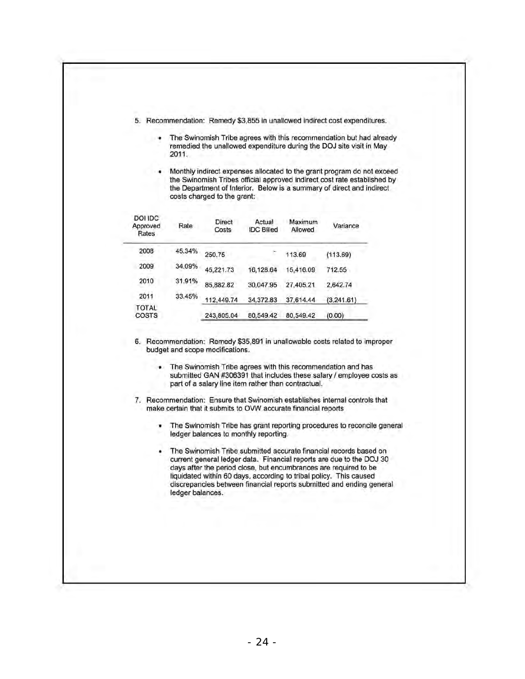- 5. Recommendation: Remedy \$3,855 in unallowed indirect cost expenditures.
	- The Swinomish Tribe agrees with this recommendation but had already remedied the unallowed expenditure during the DOJ site visit in May 2011.
	- Monthly indirect expenses allocated to the grant program do not exceed the Swinomish Tribes official approved indirect cost rate established by the Department of Interior. Below is a summary of direct and indirect costs charged to the grant:

| DOI IDC<br>Approved<br>Rates | Rale   | Direct<br>Costs | Actual<br><b>IDC Billed</b> | Maximum<br>Allowed | Variance    |
|------------------------------|--------|-----------------|-----------------------------|--------------------|-------------|
| 2008                         | 45.34% | 250.75          |                             | 113.69             | (113.69)    |
| 2009                         | 34.09% | 45,221.73       | 16,128.64                   | 15,416.09          | 712.55      |
| 2010                         | 31.91% | 85,882.82       | 30.047.95                   | 27,405.21          | 2,642.74    |
| 2011                         | 33.45% | 112.449.74      | 34.372.83                   | 37.614.44          | (3, 241.61) |
| <b>TOTAL</b><br>COSTS        |        | 243,805.04      | 80.549.42                   | 80,549.42          | (0.00)      |

6. Recommendation: Remedy \$35,891 in unallowable costs related to improper budget and scope modifications.

- The Swinomish Tribe agrees with this recommendation and has submitted GAN #306391 that includes these salary / employee costs as part of a salary line item rather than contractual.
- 7. Recommendation: Ensure that Swinomish establishes internal controls that make certain that it submits to OVW accurate financial reports
	- The Swinomish Tribe has grant reporting procedures to reconcile general ledger balances to monthly reporting.
	- The Swinomish Tribe submitted accurate financial records based on current general ledger data. Financial reports are due to the DOJ 30 days after the period close, but encumbrances are required to be liquidated within 60 days, according to tribal policy. This caused discrepancies between financial reports submitted and ending general ledger balances.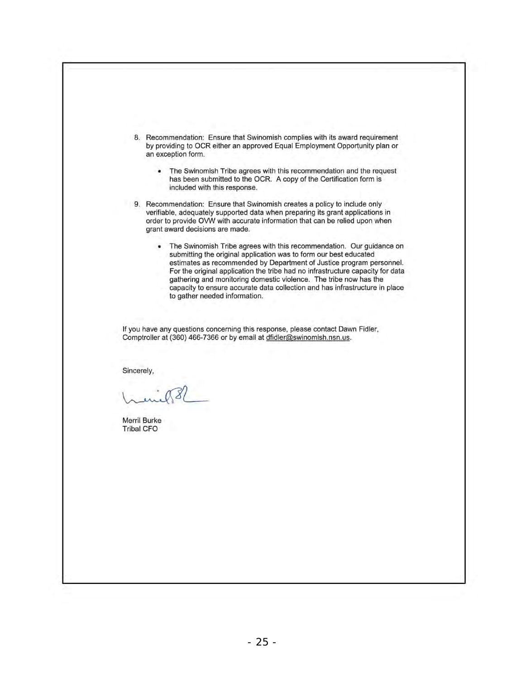8. Recommendation: Ensure that Swinomish complies with its award requirement by providing to OCR either an approved Equal Employment Opportunity plan or an exception form.

- The Swinomish Tribe agrees with this recommendation and the request has been submitted to the OCR. A copy of the Certification form is included with this response.
- 9. Recommendation: Ensure that Swinomish creates a policy to include only verifiable, adequately supported data when preparing its grant applications in order to provide OVW with accurate information that can be relied upon when **grant award decisions are made.** 
	- The Swinomish Tribe agrees with this recommendation. Our guidance on submitting the original application was to form our best educated estimates as recommended by Department of Justice program personnel. For the original application the tribe had no infrastructure capacity for data gathering and monitoring domestic violence. The tribe now has the capacity to ensure accurate data collection and has infrastructure in place to gather needed information.

If you have any questions concerning this response, please contact Dawn Fidler, Comptroller at (360) 466-7366 or by email at dfidler@swinomish.nsn.us.

Sincerely,

Merril Burke Tribal CFO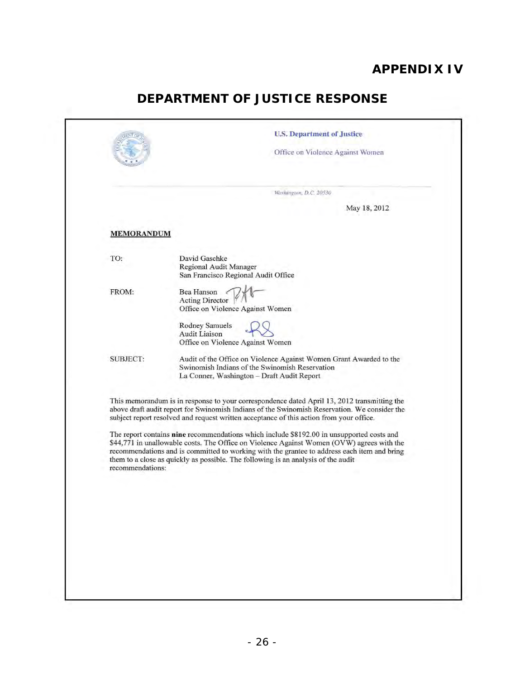# **APPENDIX IV**

# **DEPARTMENT OF JUSTICE RESPONSE**

| <b>MEMORANDUM</b><br>David Gaschke<br>Regional Audit Manager<br>San Francisco Regional Audit Office<br>Bea Hanson<br>Acting Director<br>Office on Violence Against Women<br>Rodney Samuels<br><b>Audit Liaison</b><br>Office on Violence Against Women<br>Audit of the Office on Violence Against Women Grant Awarded to the<br>Swinomish Indians of the Swinomish Reservation<br>La Conner, Washington - Draft Audit Report<br>This memorandum is in response to your correspondence dated April 13, 2012 transmitting the<br>above draft audit report for Swinomish Indians of the Swinomish Reservation. We consider the<br>subject report resolved and request written acceptance of this action from your office.<br>The report contains nine recommendations which include \$8192.00 in unsupported costs and<br>\$44,771 in unallowable costs. The Office on Violence Against Women (OVW) agrees with the<br>recommendations and is committed to working with the grantee to address each item and bring<br>them to a close as quickly as possible. The following is an analysis of the audit<br>recommendations: |                 | Washington, D.C. 20530<br>May 18, 2012 |
|--------------------------------------------------------------------------------------------------------------------------------------------------------------------------------------------------------------------------------------------------------------------------------------------------------------------------------------------------------------------------------------------------------------------------------------------------------------------------------------------------------------------------------------------------------------------------------------------------------------------------------------------------------------------------------------------------------------------------------------------------------------------------------------------------------------------------------------------------------------------------------------------------------------------------------------------------------------------------------------------------------------------------------------------------------------------------------------------------------------------------|-----------------|----------------------------------------|
|                                                                                                                                                                                                                                                                                                                                                                                                                                                                                                                                                                                                                                                                                                                                                                                                                                                                                                                                                                                                                                                                                                                          |                 |                                        |
|                                                                                                                                                                                                                                                                                                                                                                                                                                                                                                                                                                                                                                                                                                                                                                                                                                                                                                                                                                                                                                                                                                                          | TO:             |                                        |
|                                                                                                                                                                                                                                                                                                                                                                                                                                                                                                                                                                                                                                                                                                                                                                                                                                                                                                                                                                                                                                                                                                                          | FROM:           |                                        |
|                                                                                                                                                                                                                                                                                                                                                                                                                                                                                                                                                                                                                                                                                                                                                                                                                                                                                                                                                                                                                                                                                                                          |                 |                                        |
|                                                                                                                                                                                                                                                                                                                                                                                                                                                                                                                                                                                                                                                                                                                                                                                                                                                                                                                                                                                                                                                                                                                          | <b>SUBJECT:</b> |                                        |
|                                                                                                                                                                                                                                                                                                                                                                                                                                                                                                                                                                                                                                                                                                                                                                                                                                                                                                                                                                                                                                                                                                                          |                 |                                        |
|                                                                                                                                                                                                                                                                                                                                                                                                                                                                                                                                                                                                                                                                                                                                                                                                                                                                                                                                                                                                                                                                                                                          |                 |                                        |
|                                                                                                                                                                                                                                                                                                                                                                                                                                                                                                                                                                                                                                                                                                                                                                                                                                                                                                                                                                                                                                                                                                                          |                 |                                        |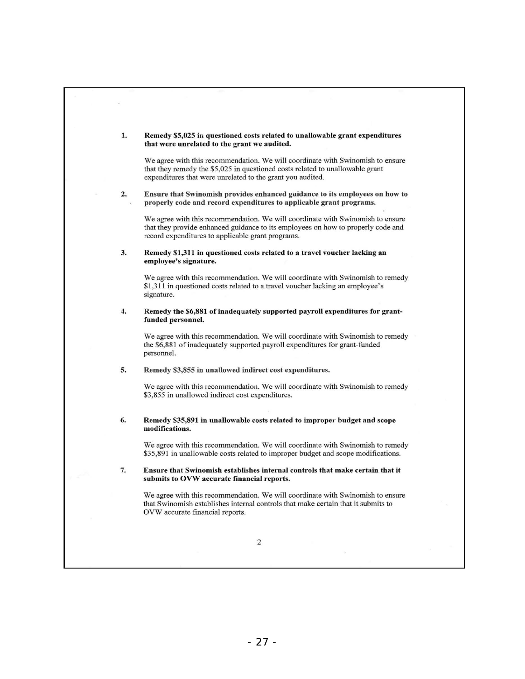| 1. | Remedy \$5,025 in questioned costs related to unallowable grant expenditures<br>that were unrelated to the grant we audited.                                                                                                  |
|----|-------------------------------------------------------------------------------------------------------------------------------------------------------------------------------------------------------------------------------|
|    | We agree with this recommendation. We will coordinate with Swinomish to ensure<br>that they remedy the \$5,025 in questioned costs related to unallowable grant<br>expenditures that were unrelated to the grant you audited. |
| 2. | Ensure that Swinomish provides enhanced guidance to its employees on how to<br>properly code and record expenditures to applicable grant programs.                                                                            |
|    | We agree with this recommendation. We will coordinate with Swinomish to ensure<br>that they provide enhanced guidance to its employees on how to properly code and<br>record expenditures to applicable grant programs.       |
| 3. | Remedy \$1,311 in questioned costs related to a travel voucher lacking an<br>employee's signature.                                                                                                                            |
|    | We agree with this recommendation. We will coordinate with Swinomish to remedy<br>\$1,311 in questioned costs related to a travel voucher lacking an employee's<br>signature.                                                 |
| 4. | Remedy the \$6,881 of inadequately supported payroll expenditures for grant-<br>funded personnel.                                                                                                                             |
|    | We agree with this recommendation. We will coordinate with Swinomish to remedy<br>the \$6,881 of inadequately supported payroll expenditures for grant-funded<br>personnel.                                                   |
| 5. | Remedy \$3,855 in unallowed indirect cost expenditures.                                                                                                                                                                       |
|    | We agree with this recommendation. We will coordinate with Swinomish to remedy<br>\$3,855 in unallowed indirect cost expenditures.                                                                                            |
| 6. | Remedy \$35,891 in unallowable costs related to improper budget and scope<br>modifications.                                                                                                                                   |
|    | We agree with this recommendation. We will coordinate with Swinomish to remedy<br>\$35,891 in unallowable costs related to improper budget and scope modifications.                                                           |
| 7. | Ensure that Swinomish establishes internal controls that make certain that it<br>submits to OVW accurate financial reports.                                                                                                   |
|    | We agree with this recommendation. We will coordinate with Swinomish to ensure<br>that Swinomish establishes internal controls that make certain that it submits to<br>OVW accurate financial reports.                        |
|    | 2                                                                                                                                                                                                                             |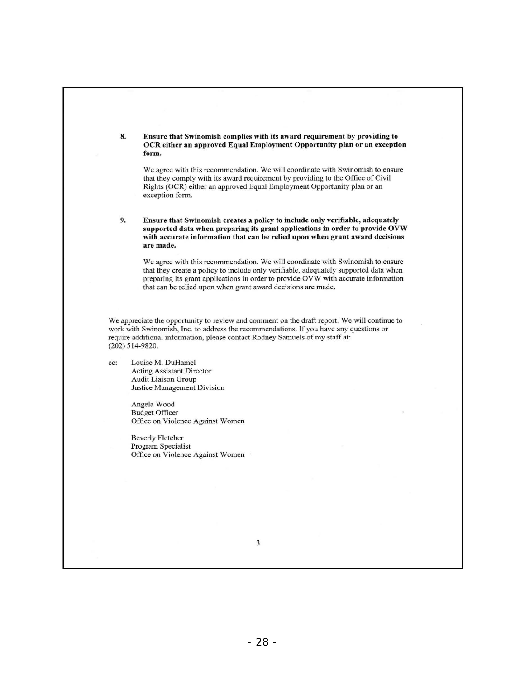8. Ensure that Swinomish complies with its award requirement by providing to OCR either an approved Equal Employment Opportunity plan or an exception form. We agree with this recommendation. We will coordinate with Swinomish to ensure that they comply with its award requirement by providing to the Office of Civil Rights (OCR) either an approved Equal Employment Opportunity plan or an exception form. 9. Ensure that Swinomish creates a policy to include only verifiable, adequately supported data when preparing its grant applications in order to provide OVW with accurate information that can be relied upon when grant award decisions are made. We agree with this recommendation. We will coordinate with Swinomish to ensure that they create a policy to include only verifiable, adequately supported data when preparing its grant applications in order to provide OVW with accurate information that can be relied upon when grant award decisions are made. We appreciate the opportunity to review and comment on the draft report. We will continue to work with Swinomish, Inc. to address the recommendations. If you have any questions or require additional information, please contact Rodney Samuels of my staff at: (202) 514-9820. cc: Louise M. DuHamel Acting Assistant Director Audit Liaison Group Justice Management Division Angela Wood Budget Officer Office on Violence Against Women Beverly Fletcher Program Specialist Office on Violence Against Women

3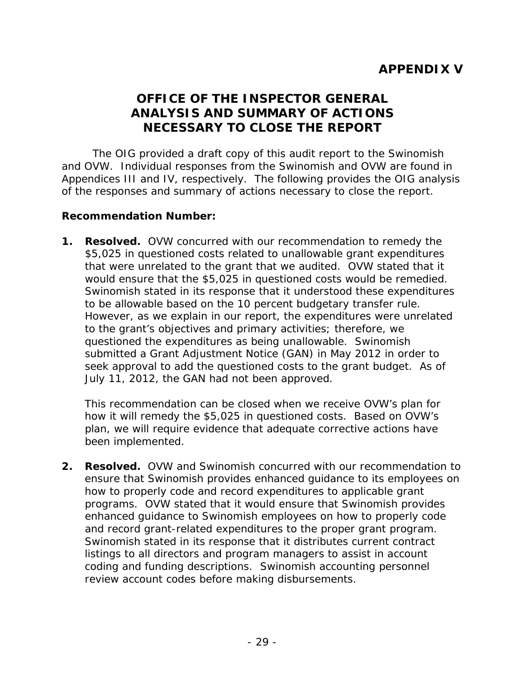# **OFFICE OF THE INSPECTOR GENERAL ANALYSIS AND SUMMARY OF ACTIONS NECESSARY TO CLOSE THE REPORT**

The OIG provided a draft copy of this audit report to the Swinomish and OVW. Individual responses from the Swinomish and OVW are found in Appendices III and IV, respectively. The following provides the OIG analysis of the responses and summary of actions necessary to close the report.

#### **Recommendation Number:**

**1. Resolved.** OVW concurred with our recommendation to remedy the \$5,025 in questioned costs related to unallowable grant expenditures that were unrelated to the grant that we audited. OVW stated that it would ensure that the \$5,025 in questioned costs would be remedied. Swinomish stated in its response that it understood these expenditures to be allowable based on the 10 percent budgetary transfer rule. However, as we explain in our report, the expenditures were unrelated to the grant's objectives and primary activities; therefore, we questioned the expenditures as being unallowable. Swinomish submitted a Grant Adjustment Notice (GAN) in May 2012 in order to seek approval to add the questioned costs to the grant budget. As of July 11, 2012, the GAN had not been approved.

This recommendation can be closed when we receive OVW's plan for how it will remedy the \$5,025 in questioned costs. Based on OVW's plan, we will require evidence that adequate corrective actions have been implemented.

**2. Resolved.** OVW and Swinomish concurred with our recommendation to ensure that Swinomish provides enhanced guidance to its employees on how to properly code and record expenditures to applicable grant programs. OVW stated that it would ensure that Swinomish provides enhanced guidance to Swinomish employees on how to properly code and record grant-related expenditures to the proper grant program. Swinomish stated in its response that it distributes current contract listings to all directors and program managers to assist in account coding and funding descriptions. Swinomish accounting personnel review account codes before making disbursements.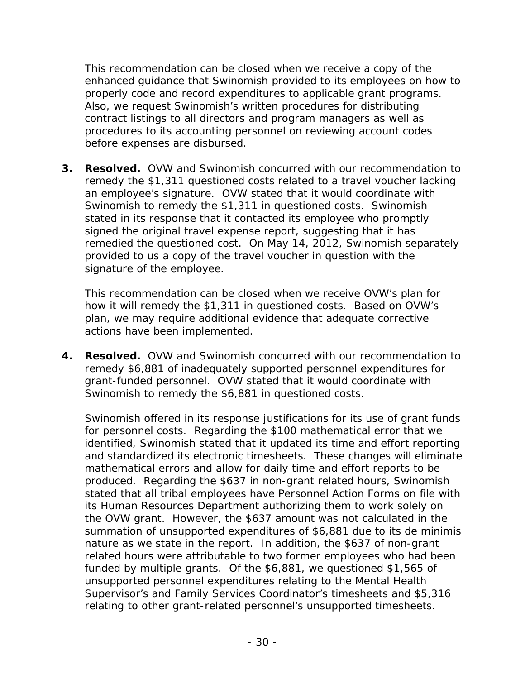This recommendation can be closed when we receive a copy of the enhanced guidance that Swinomish provided to its employees on how to properly code and record expenditures to applicable grant programs. Also, we request Swinomish's written procedures for distributing contract listings to all directors and program managers as well as procedures to its accounting personnel on reviewing account codes before expenses are disbursed.

**3. Resolved.** OVW and Swinomish concurred with our recommendation to remedy the \$1,311 questioned costs related to a travel voucher lacking an employee's signature. OVW stated that it would coordinate with Swinomish to remedy the \$1,311 in questioned costs. Swinomish stated in its response that it contacted its employee who promptly signed the original travel expense report, suggesting that it has remedied the questioned cost. On May 14, 2012, Swinomish separately provided to us a copy of the travel voucher in question with the signature of the employee.

This recommendation can be closed when we receive OVW's plan for how it will remedy the \$1,311 in questioned costs. Based on OVW's plan, we may require additional evidence that adequate corrective actions have been implemented.

**4. Resolved.** OVW and Swinomish concurred with our recommendation to remedy \$6,881 of inadequately supported personnel expenditures for grant-funded personnel. OVW stated that it would coordinate with Swinomish to remedy the \$6,881 in questioned costs.

Swinomish offered in its response justifications for its use of grant funds for personnel costs. Regarding the \$100 mathematical error that we identified, Swinomish stated that it updated its time and effort reporting and standardized its electronic timesheets. These changes will eliminate mathematical errors and allow for daily time and effort reports to be produced. Regarding the \$637 in non-grant related hours, Swinomish stated that all tribal employees have Personnel Action Forms on file with its Human Resources Department authorizing them to work solely on the OVW grant. However, the \$637 amount was not calculated in the summation of unsupported expenditures of \$6,881 due to its *de minimis* nature as we state in the report. In addition, the \$637 of non-grant related hours were attributable to two former employees who had been funded by multiple grants. Of the \$6,881, we questioned \$1,565 of unsupported personnel expenditures relating to the Mental Health Supervisor's and Family Services Coordinator's timesheets and \$5,316 relating to other grant-related personnel's unsupported timesheets.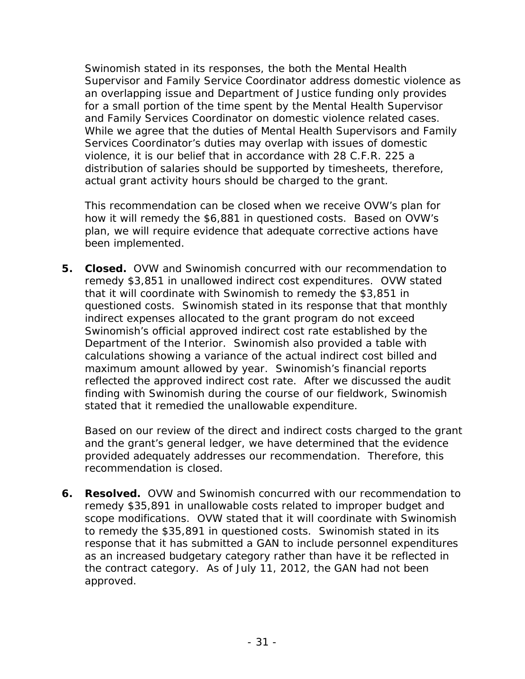Swinomish stated in its responses, the both the Mental Health Supervisor and Family Service Coordinator address domestic violence as an overlapping issue and Department of Justice funding only provides for a small portion of the time spent by the Mental Health Supervisor and Family Services Coordinator on domestic violence related cases. While we agree that the duties of Mental Health Supervisors and Family Services Coordinator's duties may overlap with issues of domestic violence, it is our belief that in accordance with 28 C.F.R. 225 a distribution of salaries should be supported by timesheets, therefore, actual grant activity hours should be charged to the grant.

This recommendation can be closed when we receive OVW's plan for how it will remedy the \$6,881 in questioned costs. Based on OVW's plan, we will require evidence that adequate corrective actions have been implemented.

**5. Closed.** OVW and Swinomish concurred with our recommendation to remedy \$3,851 in unallowed indirect cost expenditures. OVW stated that it will coordinate with Swinomish to remedy the \$3,851 in questioned costs. Swinomish stated in its response that that monthly indirect expenses allocated to the grant program do not exceed Swinomish's official approved indirect cost rate established by the Department of the Interior. Swinomish also provided a table with calculations showing a variance of the actual indirect cost billed and maximum amount allowed by year. Swinomish's financial reports reflected the approved indirect cost rate. After we discussed the audit finding with Swinomish during the course of our fieldwork, Swinomish stated that it remedied the unallowable expenditure.

Based on our review of the direct and indirect costs charged to the grant and the grant's general ledger, we have determined that the evidence provided adequately addresses our recommendation. Therefore, this recommendation is closed.

**6. Resolved.** OVW and Swinomish concurred with our recommendation to remedy \$35,891 in unallowable costs related to improper budget and scope modifications. OVW stated that it will coordinate with Swinomish to remedy the \$35,891 in questioned costs. Swinomish stated in its response that it has submitted a GAN to include personnel expenditures as an increased budgetary category rather than have it be reflected in the contract category. As of July 11, 2012, the GAN had not been approved.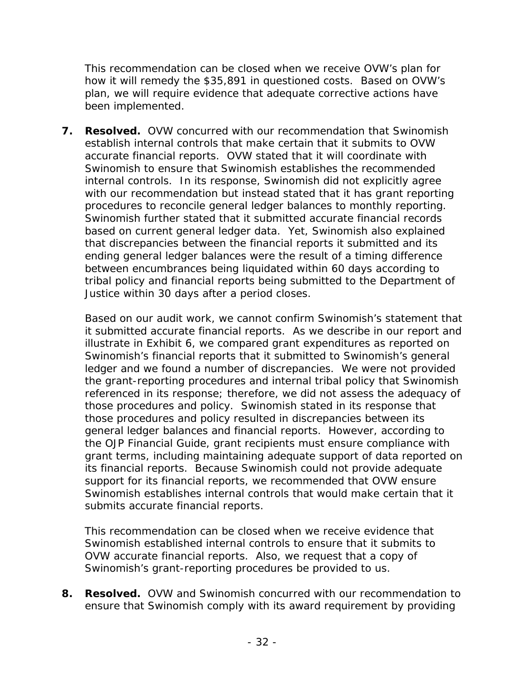This recommendation can be closed when we receive OVW's plan for how it will remedy the \$35,891 in questioned costs. Based on OVW's plan, we will require evidence that adequate corrective actions have been implemented.

**7. Resolved.** OVW concurred with our recommendation that Swinomish establish internal controls that make certain that it submits to OVW accurate financial reports. OVW stated that it will coordinate with Swinomish to ensure that Swinomish establishes the recommended internal controls. In its response, Swinomish did not explicitly agree with our recommendation but instead stated that it has grant reporting procedures to reconcile general ledger balances to monthly reporting. Swinomish further stated that it submitted accurate financial records based on current general ledger data. Yet, Swinomish also explained that discrepancies between the financial reports it submitted and its ending general ledger balances were the result of a timing difference between encumbrances being liquidated within 60 days according to tribal policy and financial reports being submitted to the Department of Justice within 30 days after a period closes.

Based on our audit work, we cannot confirm Swinomish's statement that it submitted accurate financial reports. As we describe in our report and illustrate in Exhibit 6, we compared grant expenditures as reported on Swinomish's financial reports that it submitted to Swinomish's general ledger and we found a number of discrepancies. We were not provided the grant-reporting procedures and internal tribal policy that Swinomish referenced in its response; therefore, we did not assess the adequacy of those procedures and policy. Swinomish stated in its response that those procedures and policy resulted in discrepancies between its general ledger balances and financial reports. However, according to the *OJP Financial Guide*, grant recipients must ensure compliance with grant terms, including maintaining adequate support of data reported on its financial reports. Because Swinomish could not provide adequate support for its financial reports, we recommended that OVW ensure Swinomish establishes internal controls that would make certain that it submits accurate financial reports.

This recommendation can be closed when we receive evidence that Swinomish established internal controls to ensure that it submits to OVW accurate financial reports. Also, we request that a copy of Swinomish's grant-reporting procedures be provided to us.

**8. Resolved.** OVW and Swinomish concurred with our recommendation to ensure that Swinomish comply with its award requirement by providing